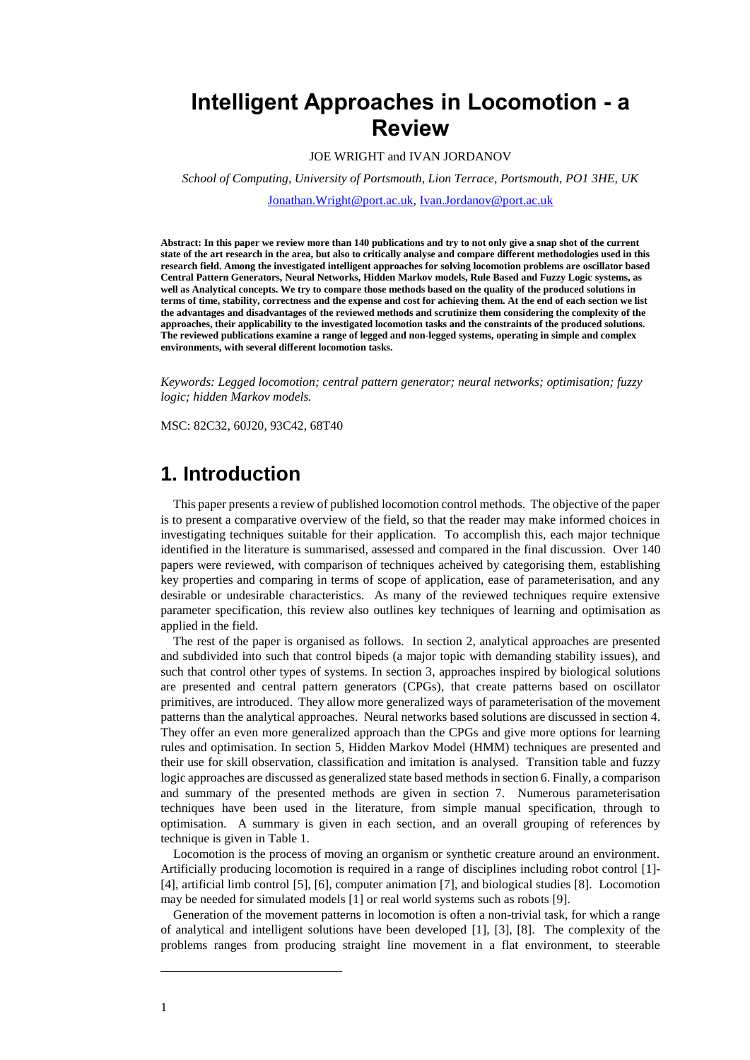# **Intelligent Approaches in Locomotion - a Review**

JOE WRIGHT and IVAN JORDANOV

*School of Computing, University of Portsmouth, Lion Terrace, Portsmouth, PO1 3HE, UK*

[Jonathan.Wright@port.ac.uk,](mailto:Jonathan.Wright@port.ac.uk) [Ivan.Jordanov@port.ac.uk](mailto:Ivan.Jordanov@port.ac.uk)

**Abstract: In this paper we review more than 140 publications and try to not only give a snap shot of the current state of the art research in the area, but also to critically analyse and compare different methodologies used in this research field. Among the investigated intelligent approaches for solving locomotion problems are oscillator based Central Pattern Generators, Neural Networks, Hidden Markov models, Rule Based and Fuzzy Logic systems, as well as Analytical concepts. We try to compare those methods based on the quality of the produced solutions in terms of time, stability, correctness and the expense and cost for achieving them. At the end of each section we list the advantages and disadvantages of the reviewed methods and scrutinize them considering the complexity of the approaches, their applicability to the investigated locomotion tasks and the constraints of the produced solutions. The reviewed publications examine a range of legged and non-legged systems, operating in simple and complex environments, with several different locomotion tasks.**

*Keywords: Legged locomotion; central pattern generator; neural networks; optimisation; fuzzy logic; hidden Markov models.*

MSC: 82C32, 60J20, 93C42, 68T40

## **1. Introduction**

This paper presents a review of published locomotion control methods. The objective of the paper is to present a comparative overview of the field, so that the reader may make informed choices in investigating techniques suitable for their application. To accomplish this, each major technique identified in the literature is summarised, assessed and compared in the final discussion. Over 140 papers were reviewed, with comparison of techniques acheived by categorising them, establishing key properties and comparing in terms of scope of application, ease of parameterisation, and any desirable or undesirable characteristics. As many of the reviewed techniques require extensive parameter specification, this review also outlines key techniques of learning and optimisation as applied in the field.

The rest of the paper is organised as follows. In section 2, analytical approaches are presented and subdivided into such that control bipeds (a major topic with demanding stability issues), and such that control other types of systems. In section 3, approaches inspired by biological solutions are presented and central pattern generators (CPGs), that create patterns based on oscillator primitives, are introduced. They allow more generalized ways of parameterisation of the movement patterns than the analytical approaches. Neural networks based solutions are discussed in section 4. They offer an even more generalized approach than the CPGs and give more options for learning rules and optimisation. In section 5, Hidden Markov Model (HMM) techniques are presented and their use for skill observation, classification and imitation is analysed. Transition table and fuzzy logic approaches are discussed as generalized state based methods in section 6. Finally, a comparison and summary of the presented methods are given in section 7. Numerous parameterisation techniques have been used in the literature, from simple manual specification, through to optimisation. A summary is given in each section, and an overall grouping of references by technique is given in Table 1.

Locomotion is the process of moving an organism or synthetic creature around an environment. Artificially producing locomotion is required in a range of disciplines including robot control [\[1\]](#page-17-0)- [\[4\]](#page-17-1), artificial limb control [\[5\]](#page-17-2), [\[6\]](#page-17-3), computer animation [\[7\]](#page-17-4), and biological studies [\[8\]](#page-17-5). Locomotion may be needed for simulated models [\[1\]](#page-17-0) or real world systems such as robots [\[9\]](#page-17-6).

Generation of the movement patterns in locomotion is often a non-trivial task, for which a range of analytical and intelligent solutions have been developed [\[1\]](#page-17-0), [\[3\]](#page-17-7), [\[8\]](#page-17-5). The complexity of the problems ranges from producing straight line movement in a flat environment, to steerable

-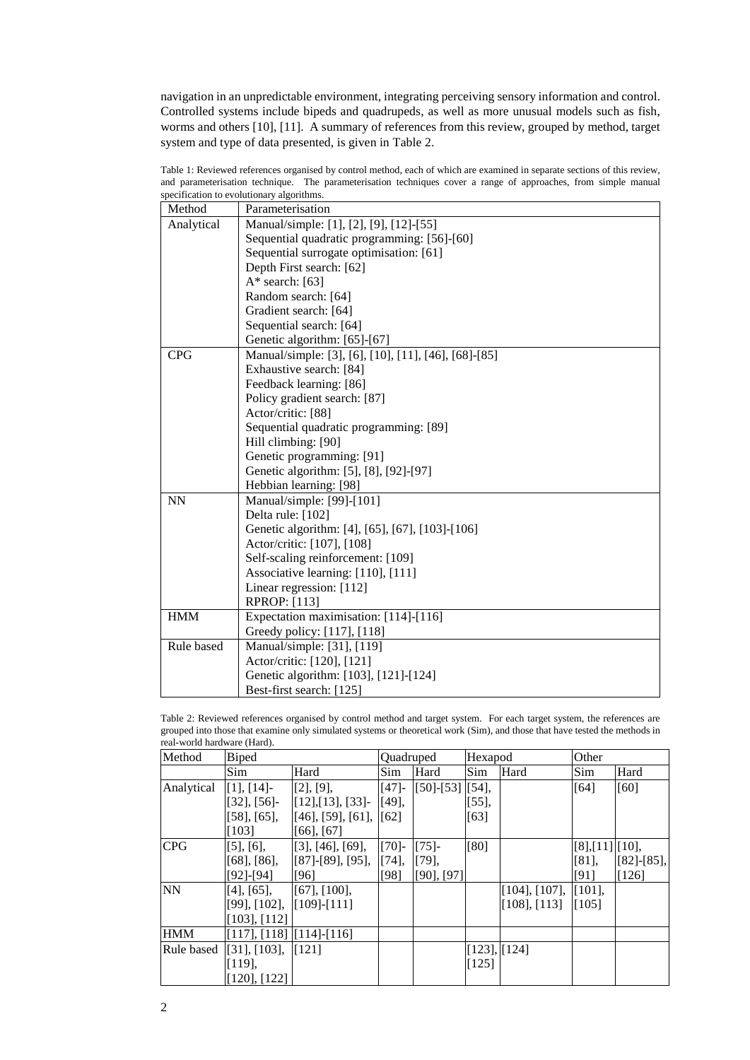navigation in an unpredictable environment, integrating perceiving sensory information and control. Controlled systems include bipeds and quadrupeds, as well as more unusual models such as fish, worms and others [\[10\]](#page-17-8), [\[11\]](#page-17-9). A summary of references from this review, grouped by method, target system and type of data presented, is given in Table 2.

Table 1: Reviewed references organised by control method, each of which are examined in separate sections of this review, and parameterisation technique. The parameterisation techniques cover a range of approaches, from simple manual specification to evolutionary algorithms.

| Method     | Parameterisation                                     |  |  |  |  |  |
|------------|------------------------------------------------------|--|--|--|--|--|
| Analytical | Manual/simple: [1], [2], [9], [12]-[55]              |  |  |  |  |  |
|            | Sequential quadratic programming: [56]-[60]          |  |  |  |  |  |
|            | Sequential surrogate optimisation: [61]              |  |  |  |  |  |
|            | Depth First search: [62]                             |  |  |  |  |  |
|            | A* search: $[63]$                                    |  |  |  |  |  |
|            | Random search: [64]                                  |  |  |  |  |  |
|            | Gradient search: [64]                                |  |  |  |  |  |
|            | Sequential search: [64]                              |  |  |  |  |  |
|            | Genetic algorithm: [65]-[67]                         |  |  |  |  |  |
| <b>CPG</b> | Manual/simple: [3], [6], [10], [11], [46], [68]-[85] |  |  |  |  |  |
|            | Exhaustive search: [84]                              |  |  |  |  |  |
|            | Feedback learning: [86]                              |  |  |  |  |  |
|            | Policy gradient search: [87]                         |  |  |  |  |  |
|            | Actor/critic: [88]                                   |  |  |  |  |  |
|            | Sequential quadratic programming: [89]               |  |  |  |  |  |
|            | Hill climbing: [90]                                  |  |  |  |  |  |
|            | Genetic programming: [91]                            |  |  |  |  |  |
|            | Genetic algorithm: [5], [8], [92]-[97]               |  |  |  |  |  |
|            | Hebbian learning: [98]                               |  |  |  |  |  |
| <b>NN</b>  | Manual/simple: [99]-[101]                            |  |  |  |  |  |
|            | Delta rule: [102]                                    |  |  |  |  |  |
|            | Genetic algorithm: [4], [65], [67], [103]-[106]      |  |  |  |  |  |
|            | Actor/critic: [107], [108]                           |  |  |  |  |  |
|            | Self-scaling reinforcement: [109]                    |  |  |  |  |  |
|            | Associative learning: [110], [111]                   |  |  |  |  |  |
|            | Linear regression: [112]                             |  |  |  |  |  |
|            | <b>RPROP: [113]</b>                                  |  |  |  |  |  |
| <b>HMM</b> | Expectation maximisation: [114]-[116]                |  |  |  |  |  |
|            | Greedy policy: [117], [118]                          |  |  |  |  |  |
| Rule based | Manual/simple: [31], [119]                           |  |  |  |  |  |
|            | Actor/critic: [120], [121]                           |  |  |  |  |  |
|            | Genetic algorithm: [103], [121]-[124]                |  |  |  |  |  |
|            | Best-first search: [125]                             |  |  |  |  |  |

Table 2: Reviewed references organised by control method and target system. For each target system, the references are grouped into those that examine only simulated systems or theoretical work (Sim), and those that have tested the methods in real-world hardware (Hard).

| Method     | Biped                        |                           | Quadruped |                   | Hexapod      |               | Other         |              |
|------------|------------------------------|---------------------------|-----------|-------------------|--------------|---------------|---------------|--------------|
|            | Sim                          | Hard                      | Sim       | Hard              | Sim          | Hard          | Sim           | Hard         |
| Analytical | $[1], [14]$ -                | [2], [9],                 | $[47]$ -  | $[50]-[53]$ [54], |              |               | [64]          | [60]         |
|            | $[32]$ , $[56]$ -            | [12],[13],[33]            | $[49]$ ,  |                   | $[55]$ ,     |               |               |              |
|            | $[58]$ , $[65]$ ,            | $[46]$ , [59], [61], [62] |           |                   | [63]         |               |               |              |
|            | $[103]$                      | $[66]$ , $[67]$           |           |                   |              |               |               |              |
| <b>CPG</b> | $[5]$ , $[6]$ ,              | $[3]$ , [46], [69],       | $[70]$ -  | $[75]$ -          | [80]         |               | [8],[11][10], |              |
|            | $[68]$ , $[86]$ ,            | $[87]$ -[89], [95],       | $[74]$ ,  | $[79]$ ,          |              |               | $[81]$ ,      | $[82]-[85],$ |
|            | $[92] - [94]$                | [96]                      | [98]      | [90], [97]        |              |               | [91]          | $[126]$      |
| <b>NN</b>  | $[4]$ , $[65]$ ,             | $[67]$ , $[100]$ ,        |           |                   |              | [104], [107], | $[101]$ ,     |              |
|            | $[99], [102], [109]-[111]$   |                           |           |                   |              | [108], [113]  | $\vert$ [105] |              |
|            | [103], [112]                 |                           |           |                   |              |               |               |              |
| <b>HMM</b> | $[117], [118]$ $[114]-[116]$ |                           |           |                   |              |               |               |              |
| Rule based | [31], [103], [121]           |                           |           |                   | [123], [124] |               |               |              |
|            | $[119]$ ,                    |                           |           |                   | $[125]$      |               |               |              |
|            | [120], [122]                 |                           |           |                   |              |               |               |              |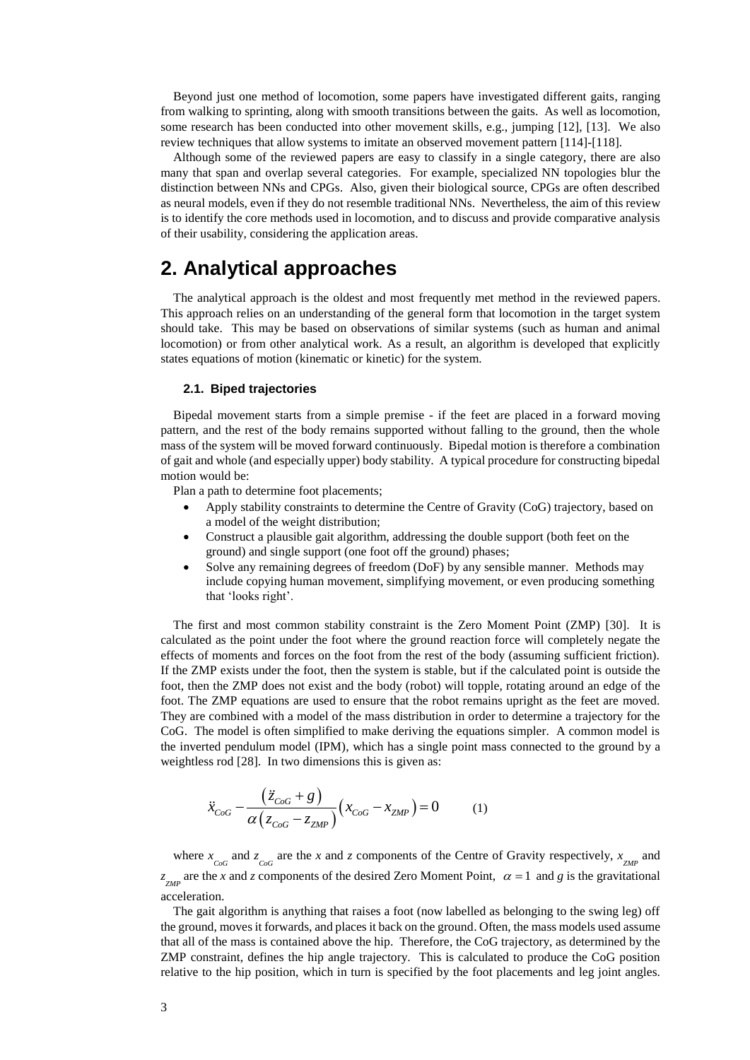Beyond just one method of locomotion, some papers have investigated different gaits, ranging from walking to sprinting, along with smooth transitions between the gaits. As well as locomotion, some research has been conducted into other movement skills, e.g., jumping [\[12\]](#page-17-11), [\[13\]](#page-17-13). We also review techniques that allow systems to imitate an observed movement pattern [\[114\]](#page-22-2)-[\[118\]](#page-22-5).

Although some of the reviewed papers are easy to classify in a single category, there are also many that span and overlap several categories. For example, specialized NN topologies blur the distinction between NNs and CPGs. Also, given their biological source, CPGs are often described as neural models, even if they do not resemble traditional NNs. Nevertheless, the aim of this review is to identify the core methods used in locomotion, and to discuss and provide comparative analysis of their usability, considering the application areas.

## **2. Analytical approaches**

The analytical approach is the oldest and most frequently met method in the reviewed papers. This approach relies on an understanding of the general form that locomotion in the target system should take. This may be based on observations of similar systems (such as human and animal locomotion) or from other analytical work. As a result, an algorithm is developed that explicitly states equations of motion (kinematic or kinetic) for the system.

### **2.1. Biped trajectories**

Bipedal movement starts from a simple premise - if the feet are placed in a forward moving pattern, and the rest of the body remains supported without falling to the ground, then the whole mass of the system will be moved forward continuously. Bipedal motion is therefore a combination of gait and whole (and especially upper) body stability. A typical procedure for constructing bipedal motion would be:

Plan a path to determine foot placements;

- Apply stability constraints to determine the Centre of Gravity (CoG) trajectory, based on a model of the weight distribution;
- Construct a plausible gait algorithm, addressing the double support (both feet on the ground) and single support (one foot off the ground) phases;
- Solve any remaining degrees of freedom (DoF) by any sensible manner. Methods may include copying human movement, simplifying movement, or even producing something that 'looks right'.

The first and most common stability constraint is the Zero Moment Point (ZMP) [\[30\]](#page-18-3). It is calculated as the point under the foot where the ground reaction force will completely negate the effects of moments and forces on the foot from the rest of the body (assuming sufficient friction). If the ZMP exists under the foot, then the system is stable, but if the calculated point is outside the foot, then the ZMP does not exist and the body (robot) will topple, rotating around an edge of the foot. The ZMP equations are used to ensure that the robot remains upright as the feet are moved. They are combined with a model of the mass distribution in order to determine a trajectory for the CoG. The model is often simplified to make deriving the equations simpler. A common model is the inverted pendulum model (IPM), which has a single point mass connected to the ground by a weightless rod [\[28\]](#page-18-4). In two dimensions this is given as:

$$
\ddot{x}_{CoG} - \frac{(\ddot{z}_{CoG} + g)}{\alpha (z_{CoG} - z_{ZMP})} (x_{CoG} - x_{ZMP}) = 0
$$
 (1)

where  $x_{\text{CoG}}$  and  $z_{\text{CoG}}$  are the *x* and *z* components of the Centre of Gravity respectively,  $x_{\text{ZMP}}$  and  $z_{\text{ZMP}}$  are the *x* and *z* components of the desired Zero Moment Point,  $\alpha = 1$  and *g* is the gravitational acceleration.  $\alpha=1$ 

The gait algorithm is anything that raises a foot (now labelled as belonging to the swing leg) off the ground, moves it forwards, and places it back on the ground. Often, the mass models used assume that all of the mass is contained above the hip. Therefore, the CoG trajectory, as determined by the ZMP constraint, defines the hip angle trajectory. This is calculated to produce the CoG position  $\ddot{x}_{CoG} - \frac{(\ddot{z}_{CoG} + g)}{\alpha(\dot{z}_{CoG} - z_{ZMP})} (x_{CoG} - x_{ZMP}) = 0$  (1)<br>
where  $x_{CoG}$  and  $z_{CoG}$  are the x and z components of the Centre of Gravity respectively,  $x_{ZMP}$  and<br>  $z_{ZMP}$  are the x and z components of the desired Ze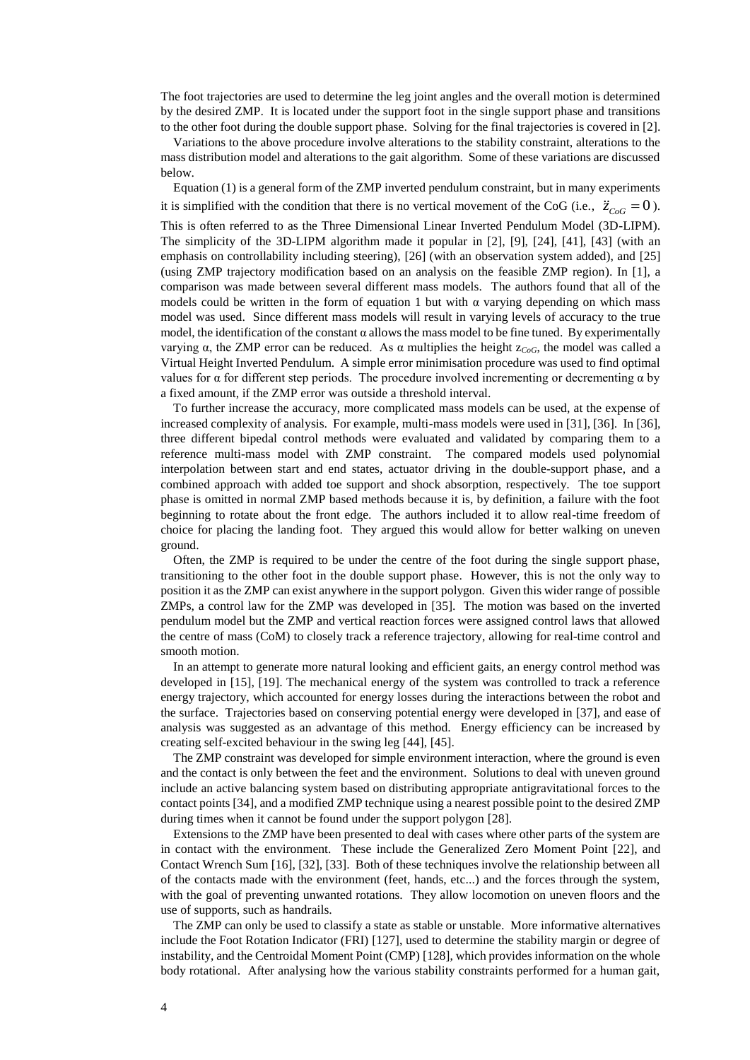The foot trajectories are used to determine the leg joint angles and the overall motion is determined by the desired ZMP. It is located under the support foot in the single support phase and transitions to the other foot during the double support phase. Solving for the final trajectories is covered in [\[2\]](#page-17-10).

Variations to the above procedure involve alterations to the stability constraint, alterations to the mass distribution model and alterations to the gait algorithm. Some of these variations are discussed below.

Equation (1) is a general form of the ZMP inverted pendulum constraint, but in many experiments it is simplified with the condition that there is no vertical movement of the CoG (i.e.,  $\ddot{z}_{CoG} = 0$ ).

This is often referred to as the Three Dimensional Linear Inverted Pendulum Model (3D-LIPM). The simplicity of the 3D-LIPM algorithm made it popular in [\[2\]](#page-17-10), [\[9\]](#page-17-6), [\[24\]](#page-18-5), [\[41\]](#page-18-6), [\[43\]](#page-18-7) (with an emphasis on controllability including steering), [\[26\]](#page-18-8) (with an observation system added), and [\[25\]](#page-18-9) (using ZMP trajectory modification based on an analysis on the feasible ZMP region). In [\[1\]](#page-17-0), a comparison was made between several different mass models. The authors found that all of the models could be written in the form of equation 1 but with  $\alpha$  varying depending on which mass model was used. Since different mass models will result in varying levels of accuracy to the true model, the identification of the constant  $\alpha$  allows the mass model to be fine tuned. By experimentally varying  $α$ , the ZMP error can be reduced. As  $α$  multiplies the height  $z<sub>Co</sub>$ , the model was called a Virtual Height Inverted Pendulum. A simple error minimisation procedure was used to find optimal values for α for different step periods. The procedure involved incrementing or decrementing α by a fixed amount, if the ZMP error was outside a threshold interval.

To further increase the accuracy, more complicated mass models can be used, at the expense of increased complexity of analysis. For example, multi-mass models were used in [\[31\]](#page-18-0), [\[36\]](#page-18-10). In [\[36\]](#page-18-10), three different bipedal control methods were evaluated and validated by comparing them to a reference multi-mass model with ZMP constraint. The compared models used polynomial interpolation between start and end states, actuator driving in the double-support phase, and a combined approach with added toe support and shock absorption, respectively. The toe support phase is omitted in normal ZMP based methods because it is, by definition, a failure with the foot beginning to rotate about the front edge. The authors included it to allow real-time freedom of choice for placing the landing foot. They argued this would allow for better walking on uneven ground.

Often, the ZMP is required to be under the centre of the foot during the single support phase, transitioning to the other foot in the double support phase. However, this is not the only way to position it as the ZMP can exist anywhere in the support polygon. Given this wider range of possible ZMPs, a control law for the ZMP was developed in [\[35\]](#page-18-11). The motion was based on the inverted pendulum model but the ZMP and vertical reaction forces were assigned control laws that allowed the centre of mass (CoM) to closely track a reference trajectory, allowing for real-time control and smooth motion.

In an attempt to generate more natural looking and efficient gaits, an energy control method was developed in [\[15\]](#page-17-14), [\[19\]](#page-17-15). The mechanical energy of the system was controlled to track a reference energy trajectory, which accounted for energy losses during the interactions between the robot and the surface. Trajectories based on conserving potential energy were developed in [\[37\]](#page-18-12), and ease of analysis was suggested as an advantage of this method. Energy efficiency can be increased by creating self-excited behaviour in the swing leg [\[44\]](#page-18-13), [\[45\]](#page-19-19).

The ZMP constraint was developed for simple environment interaction, where the ground is even and the contact is only between the feet and the environment. Solutions to deal with uneven ground include an active balancing system based on distributing appropriate antigravitational forces to the contact points [\[34\]](#page-18-14), and a modified ZMP technique using a nearest possible point to the desired ZMP during times when it cannot be found under the support polygon [\[28\]](#page-18-4).

Extensions to the ZMP have been presented to deal with cases where other parts of the system are in contact with the environment. These include the Generalized Zero Moment Point [\[22\]](#page-18-15), and Contact Wrench Sum [\[16\]](#page-17-16), [\[32\]](#page-18-1), [\[33\]](#page-18-2). Both of these techniques involve the relationship between all of the contacts made with the environment (feet, hands, etc...) and the forces through the system, with the goal of preventing unwanted rotations. They allow locomotion on uneven floors and the use of supports, such as handrails.

The ZMP can only be used to classify a state as stable or unstable. More informative alternatives include the Foot Rotation Indicator (FRI) [\[127\]](#page-22-14), used to determine the stability margin or degree of instability, and the Centroidal Moment Point (CMP) [\[128\]](#page-22-15), which provides information on the whole body rotational. After analysing how the various stability constraints performed for a human gait,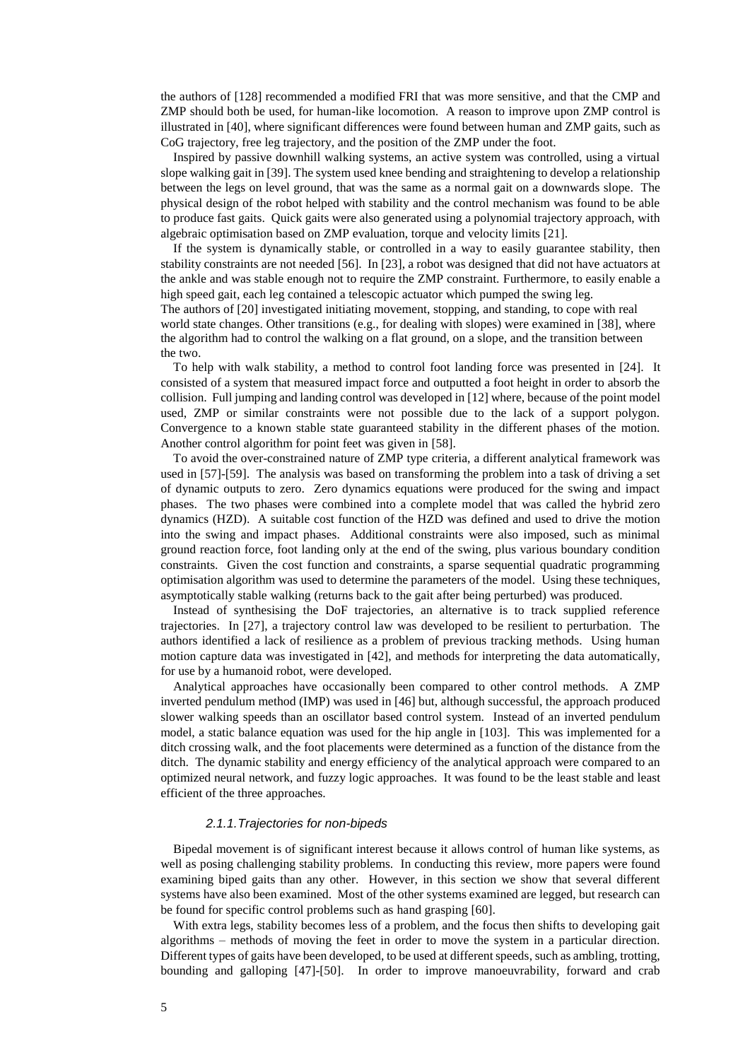the authors of [\[128\]](#page-22-15) recommended a modified FRI that was more sensitive, and that the CMP and ZMP should both be used, for human-like locomotion. A reason to improve upon ZMP control is illustrated in [\[40\]](#page-18-16), where significant differences were found between human and ZMP gaits, such as CoG trajectory, free leg trajectory, and the position of the ZMP under the foot.

Inspired by passive downhill walking systems, an active system was controlled, using a virtual slope walking gait in [\[39\]](#page-18-17). The system used knee bending and straightening to develop a relationship between the legs on level ground, that was the same as a normal gait on a downwards slope. The physical design of the robot helped with stability and the control mechanism was found to be able to produce fast gaits. Quick gaits were also generated using a polynomial trajectory approach, with algebraic optimisation based on ZMP evaluation, torque and velocity limits [\[21\]](#page-18-18).

If the system is dynamically stable, or controlled in a way to easily guarantee stability, then stability constraints are not needed [\[56\]](#page-19-1). In [\[23\]](#page-18-19), a robot was designed that did not have actuators at the ankle and was stable enough not to require the ZMP constraint. Furthermore, to easily enable a high speed gait, each leg contained a telescopic actuator which pumped the swing leg.

The authors of [\[20\]](#page-18-20) investigated initiating movement, stopping, and standing, to cope with real world state changes. Other transitions (e.g., for dealing with slopes) were examined in [\[38\]](#page-18-21), where the algorithm had to control the walking on a flat ground, on a slope, and the transition between the two.

To help with walk stability, a method to control foot landing force was presented in [\[24\]](#page-18-5). It consisted of a system that measured impact force and outputted a foot height in order to absorb the collision. Full jumping and landing control was developed in [\[12\]](#page-17-11) where, because of the point model used, ZMP or similar constraints were not possible due to the lack of a support polygon. Convergence to a known stable state guaranteed stability in the different phases of the motion. Another control algorithm for point feet was given in [\[58\]](#page-19-11).

To avoid the over-constrained nature of ZMP type criteria, a different analytical framework was used in [\[57\]](#page-19-20)-[\[59\]](#page-19-12). The analysis was based on transforming the problem into a task of driving a set of dynamic outputs to zero. Zero dynamics equations were produced for the swing and impact phases. The two phases were combined into a complete model that was called the hybrid zero dynamics (HZD). A suitable cost function of the HZD was defined and used to drive the motion into the swing and impact phases. Additional constraints were also imposed, such as minimal ground reaction force, foot landing only at the end of the swing, plus various boundary condition constraints. Given the cost function and constraints, a sparse sequential quadratic programming optimisation algorithm was used to determine the parameters of the model. Using these techniques, asymptotically stable walking (returns back to the gait after being perturbed) was produced.

Instead of synthesising the DoF trajectories, an alternative is to track supplied reference trajectories. In [\[27\]](#page-18-22), a trajectory control law was developed to be resilient to perturbation. The authors identified a lack of resilience as a problem of previous tracking methods. Using human motion capture data was investigated in [\[42\]](#page-18-23), and methods for interpreting the data automatically, for use by a humanoid robot, were developed.

Analytical approaches have occasionally been compared to other control methods. A ZMP inverted pendulum method (IMP) was used in [\[46\]](#page-19-9) but, although successful, the approach produced slower walking speeds than an oscillator based control system. Instead of an inverted pendulum model, a static balance equation was used for the hip angle in [\[103\]](#page-21-7). This was implemented for a ditch crossing walk, and the foot placements were determined as a function of the distance from the ditch. The dynamic stability and energy efficiency of the analytical approach were compared to an optimized neural network, and fuzzy logic approaches. It was found to be the least stable and least efficient of the three approaches.

## *2.1.1.Trajectories for non-bipeds*

Bipedal movement is of significant interest because it allows control of human like systems, as well as posing challenging stability problems. In conducting this review, more papers were found examining biped gaits than any other. However, in this section we show that several different systems have also been examined. Most of the other systems examined are legged, but research can be found for specific control problems such as hand grasping [\[60\]](#page-19-2).

With extra legs, stability becomes less of a problem, and the focus then shifts to developing gait algorithms – methods of moving the feet in order to move the system in a particular direction. Different types of gaits have been developed, to be used at different speeds, such as ambling, trotting, bounding and galloping [\[47\]](#page-19-14)-[\[50\]](#page-19-16). In order to improve manoeuvrability, forward and crab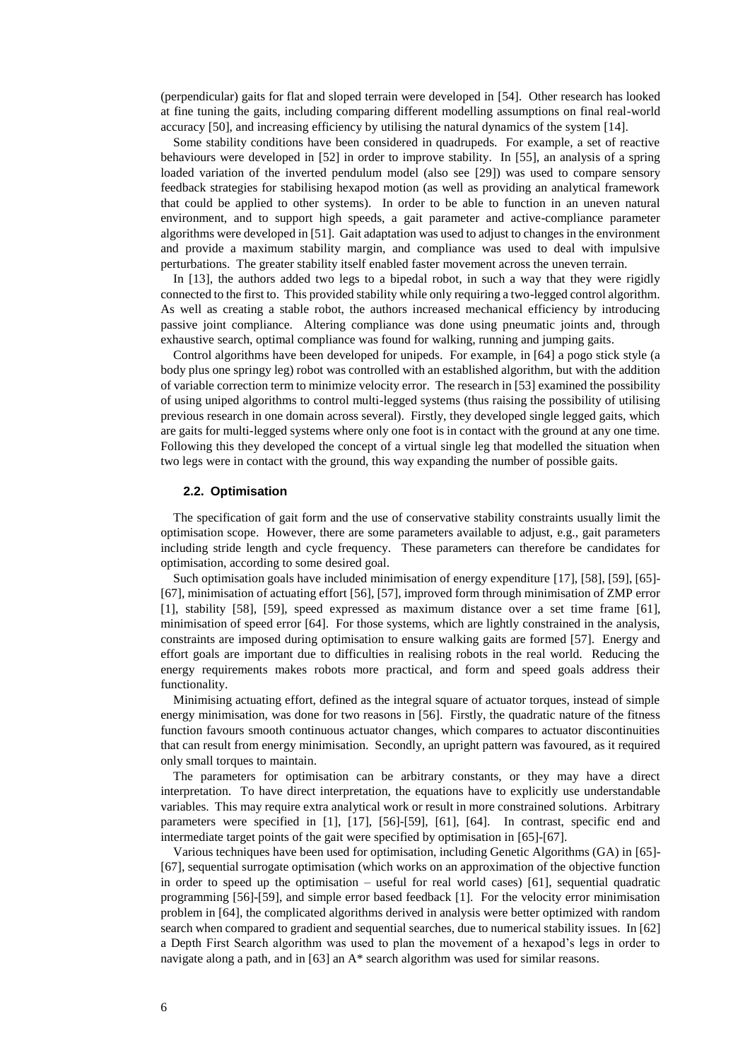(perpendicular) gaits for flat and sloped terrain were developed in [\[54\]](#page-19-18). Other research has looked at fine tuning the gaits, including comparing different modelling assumptions on final real-world accuracy [\[50\]](#page-19-16), and increasing efficiency by utilising the natural dynamics of the system [\[14\]](#page-17-12).

Some stability conditions have been considered in quadrupeds. For example, a set of reactive behaviours were developed in [\[52\]](#page-19-21) in order to improve stability. In [\[55\]](#page-19-0), an analysis of a spring loaded variation of the inverted pendulum model (also see [\[29\]](#page-18-24)) was used to compare sensory feedback strategies for stabilising hexapod motion (as well as providing an analytical framework that could be applied to other systems). In order to be able to function in an uneven natural environment, and to support high speeds, a gait parameter and active-compliance parameter algorithms were developed in [\[51\]](#page-19-22). Gait adaptation was used to adjust to changes in the environment and provide a maximum stability margin, and compliance was used to deal with impulsive perturbations. The greater stability itself enabled faster movement across the uneven terrain.

In [\[13\]](#page-17-13), the authors added two legs to a bipedal robot, in such a way that they were rigidly connected to the first to. This provided stability while only requiring a two-legged control algorithm. As well as creating a stable robot, the authors increased mechanical efficiency by introducing passive joint compliance. Altering compliance was done using pneumatic joints and, through exhaustive search, optimal compliance was found for walking, running and jumping gaits.

Control algorithms have been developed for unipeds. For example, in [\[64\]](#page-19-6) a pogo stick style (a body plus one springy leg) robot was controlled with an established algorithm, but with the addition of variable correction term to minimize velocity error. The research in [\[53\]](#page-19-17) examined the possibility of using uniped algorithms to control multi-legged systems (thus raising the possibility of utilising previous research in one domain across several). Firstly, they developed single legged gaits, which are gaits for multi-legged systems where only one foot is in contact with the ground at any one time. Following this they developed the concept of a virtual single leg that modelled the situation when two legs were in contact with the ground, this way expanding the number of possible gaits.

## **2.2. Optimisation**

The specification of gait form and the use of conservative stability constraints usually limit the optimisation scope. However, there are some parameters available to adjust, e.g., gait parameters including stride length and cycle frequency. These parameters can therefore be candidates for optimisation, according to some desired goal.

Such optimisation goals have included minimisation of energy expenditure [\[17\]](#page-17-17), [\[58\]](#page-19-11), [\[59\]](#page-19-12), [\[65\]](#page-19-7)- [\[67\]](#page-19-8), minimisation of actuating effort [\[56\]](#page-19-1), [\[57\]](#page-19-20), improved form through minimisation of ZMP error [\[1\]](#page-17-0), stability [\[58\]](#page-19-11), [\[59\]](#page-19-12), speed expressed as maximum distance over a set time frame [\[61\]](#page-19-3), minimisation of speed error [\[64\]](#page-19-6). For those systems, which are lightly constrained in the analysis, constraints are imposed during optimisation to ensure walking gaits are formed [\[57\]](#page-19-20). Energy and effort goals are important due to difficulties in realising robots in the real world. Reducing the energy requirements makes robots more practical, and form and speed goals address their functionality.

Minimising actuating effort, defined as the integral square of actuator torques, instead of simple energy minimisation, was done for two reasons in [\[56\]](#page-19-1). Firstly, the quadratic nature of the fitness function favours smooth continuous actuator changes, which compares to actuator discontinuities that can result from energy minimisation. Secondly, an upright pattern was favoured, as it required only small torques to maintain.

The parameters for optimisation can be arbitrary constants, or they may have a direct interpretation. To have direct interpretation, the equations have to explicitly use understandable variables. This may require extra analytical work or result in more constrained solutions. Arbitrary parameters were specified in [\[1\]](#page-17-0), [\[17\]](#page-17-17), [\[56\]](#page-19-1)-[\[59\]](#page-19-12), [\[61\]](#page-19-3), [\[64\]](#page-19-6). In contrast, specific end and intermediate target points of the gait were specified by optimisation in [\[65\]](#page-19-7)-[\[67\]](#page-19-8).

Various techniques have been used for optimisation, including Genetic Algorithms (GA) in [\[65\]](#page-19-7)- [\[67\]](#page-19-8), sequential surrogate optimisation (which works on an approximation of the objective function in order to speed up the optimisation – useful for real world cases) [\[61\]](#page-19-3), sequential quadratic programming [\[56\]](#page-19-1)-[\[59\]](#page-19-12), and simple error based feedback [\[1\]](#page-17-0). For the velocity error minimisation problem in [\[64\]](#page-19-6), the complicated algorithms derived in analysis were better optimized with random search when compared to gradient and sequential searches, due to numerical stability issues. In [\[62\]](#page-19-4) a Depth First Search algorithm was used to plan the movement of a hexapod's legs in order to navigate along a path, and in [\[63\]](#page-19-5) an A\* search algorithm was used for similar reasons.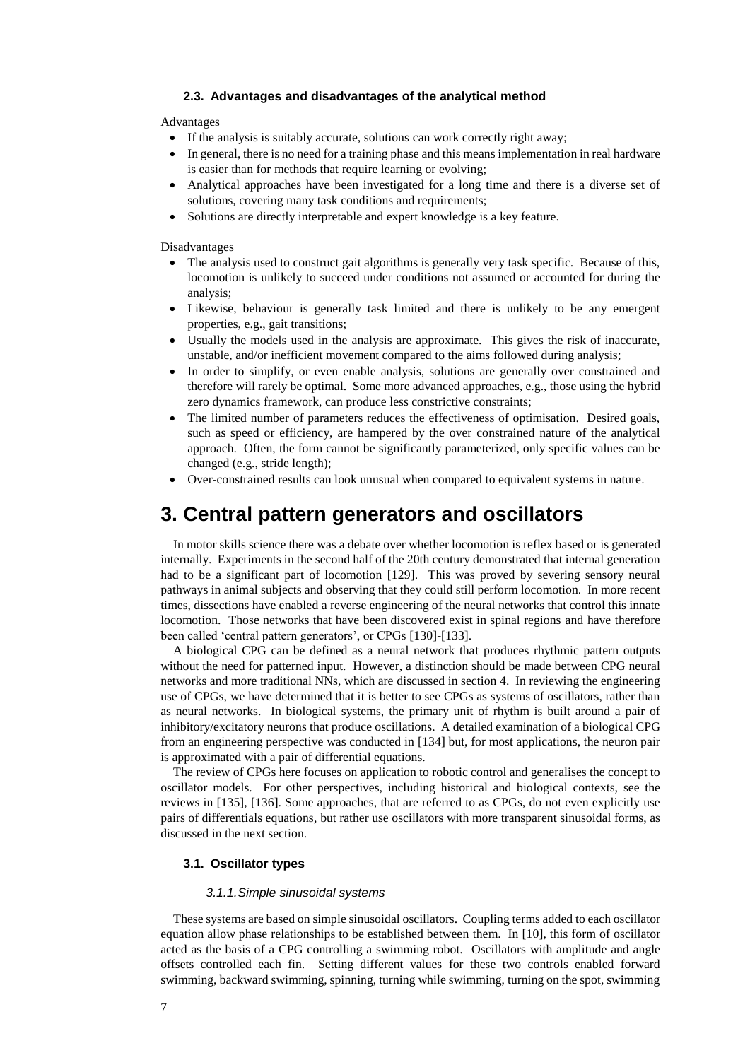### **2.3. Advantages and disadvantages of the analytical method**

Advantages

- If the analysis is suitably accurate, solutions can work correctly right away;
- In general, there is no need for a training phase and this means implementation in real hardware is easier than for methods that require learning or evolving;
- Analytical approaches have been investigated for a long time and there is a diverse set of solutions, covering many task conditions and requirements;
- Solutions are directly interpretable and expert knowledge is a key feature.

Disadvantages

- The analysis used to construct gait algorithms is generally very task specific. Because of this, locomotion is unlikely to succeed under conditions not assumed or accounted for during the analysis;
- Likewise, behaviour is generally task limited and there is unlikely to be any emergent properties, e.g., gait transitions;
- Usually the models used in the analysis are approximate. This gives the risk of inaccurate, unstable, and/or inefficient movement compared to the aims followed during analysis;
- In order to simplify, or even enable analysis, solutions are generally over constrained and therefore will rarely be optimal. Some more advanced approaches, e.g., those using the hybrid zero dynamics framework, can produce less constrictive constraints;
- The limited number of parameters reduces the effectiveness of optimisation. Desired goals, such as speed or efficiency, are hampered by the over constrained nature of the analytical approach. Often, the form cannot be significantly parameterized, only specific values can be changed (e.g., stride length);
- Over-constrained results can look unusual when compared to equivalent systems in nature.

## **3. Central pattern generators and oscillators**

In motor skills science there was a debate over whether locomotion is reflex based or is generated internally. Experiments in the second half of the 20th century demonstrated that internal generation had to be a significant part of locomotion [\[129\]](#page-22-16). This was proved by severing sensory neural pathways in animal subjects and observing that they could still perform locomotion. In more recent times, dissections have enabled a reverse engineering of the neural networks that control this innate locomotion. Those networks that have been discovered exist in spinal regions and have therefore been called 'central pattern generators', or CPGs [\[130\]](#page-22-17)-[\[133\]](#page-22-18).

A biological CPG can be defined as a neural network that produces rhythmic pattern outputs without the need for patterned input. However, a distinction should be made between CPG neural networks and more traditional NNs, which are discussed in section 4. In reviewing the engineering use of CPGs, we have determined that it is better to see CPGs as systems of oscillators, rather than as neural networks. In biological systems, the primary unit of rhythm is built around a pair of inhibitory/excitatory neurons that produce oscillations. A detailed examination of a biological CPG from an engineering perspective was conducted in [\[134\]](#page-22-19) but, for most applications, the neuron pair is approximated with a pair of differential equations.

The review of CPGs here focuses on application to robotic control and generalises the concept to oscillator models. For other perspectives, including historical and biological contexts, see the reviews in [\[135\]](#page-22-20), [\[136\]](#page-22-21). Some approaches, that are referred to as CPGs, do not even explicitly use pairs of differentials equations, but rather use oscillators with more transparent sinusoidal forms, as discussed in the next section.

## **3.1. Oscillator types**

### *3.1.1.Simple sinusoidal systems*

These systems are based on simple sinusoidal oscillators. Coupling terms added to each oscillator equation allow phase relationships to be established between them. In [\[10\]](#page-17-8), this form of oscillator acted as the basis of a CPG controlling a swimming robot. Oscillators with amplitude and angle offsets controlled each fin. Setting different values for these two controls enabled forward swimming, backward swimming, spinning, turning while swimming, turning on the spot, swimming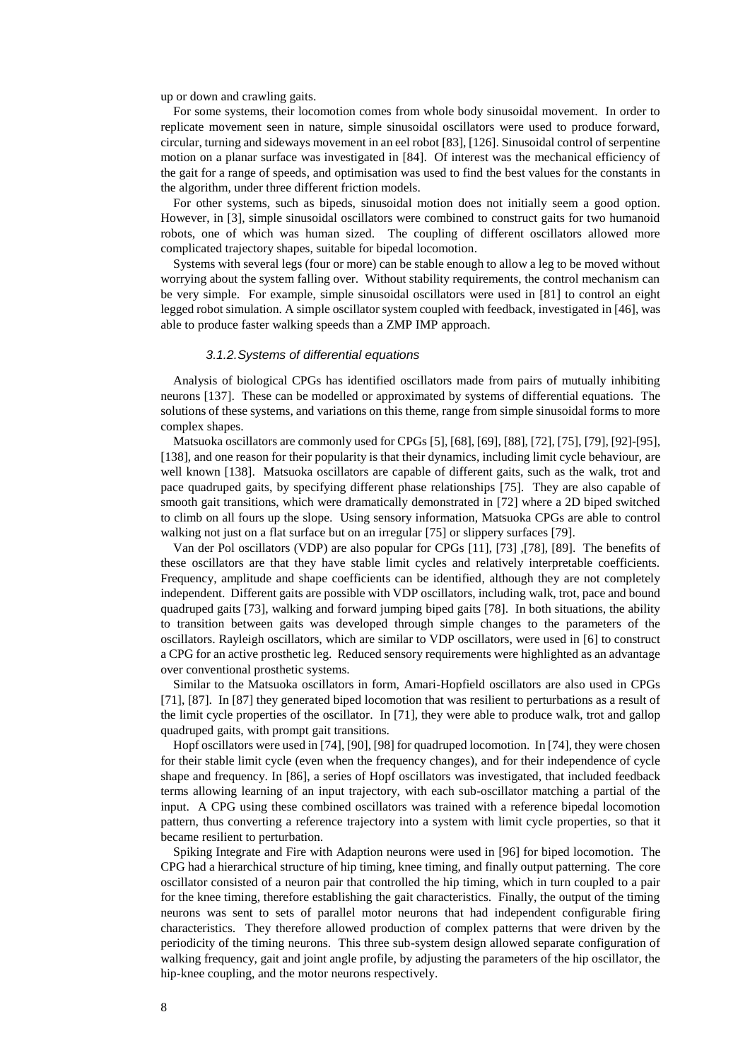up or down and crawling gaits.

For some systems, their locomotion comes from whole body sinusoidal movement. In order to replicate movement seen in nature, simple sinusoidal oscillators were used to produce forward, circular, turning and sideways movement in an eel robot [\[83\]](#page-20-15), [\[126\]](#page-22-11). Sinusoidal control of serpentine motion on a planar surface was investigated in [\[84\]](#page-20-1). Of interest was the mechanical efficiency of the gait for a range of speeds, and optimisation was used to find the best values for the constants in the algorithm, under three different friction models.

For other systems, such as bipeds, sinusoidal motion does not initially seem a good option. However, in [\[3\]](#page-17-7), simple sinusoidal oscillators were combined to construct gaits for two humanoid robots, one of which was human sized. The coupling of different oscillators allowed more complicated trajectory shapes, suitable for bipedal locomotion.

Systems with several legs (four or more) can be stable enough to allow a leg to be moved without worrying about the system falling over. Without stability requirements, the control mechanism can be very simple. For example, simple sinusoidal oscillators were used in [\[81\]](#page-20-13) to control an eight legged robot simulation. A simple oscillator system coupled with feedback, investigated in [\[46\]](#page-19-9), was able to produce faster walking speeds than a ZMP IMP approach.

#### *3.1.2.Systems of differential equations*

Analysis of biological CPGs has identified oscillators made from pairs of mutually inhibiting neurons [\[137\]](#page-22-22). These can be modelled or approximated by systems of differential equations. The solutions of these systems, and variations on this theme, range from simple sinusoidal forms to more complex shapes.

Matsuoka oscillators are commonly used for CPGs [\[5\]](#page-17-2), [\[68\]](#page-19-10), [\[69\]](#page-20-7), [\[88\]](#page-20-4), [\[72\]](#page-20-16), [\[75\]](#page-20-10), [\[79\]](#page-20-11), [\[92\]](#page-21-1)-[\[95\]](#page-21-15), [\[138\]](#page-22-23), and one reason for their popularity is that their dynamics, including limit cycle behaviour, are well known [\[138\]](#page-22-23). Matsuoka oscillators are capable of different gaits, such as the walk, trot and pace quadruped gaits, by specifying different phase relationships [\[75\]](#page-20-10). They are also capable of smooth gait transitions, which were dramatically demonstrated in [\[72\]](#page-20-16) where a 2D biped switched to climb on all fours up the slope. Using sensory information, Matsuoka CPGs are able to control walking not just on a flat surface but on an irregular [\[75\]](#page-20-10) or slippery surfaces [\[79\]](#page-20-11).

Van der Pol oscillators (VDP) are also popular for CPGs [\[11\]](#page-17-9), [\[73\]](#page-20-17) ,[\[78\]](#page-20-18), [\[89\]](#page-20-5). The benefits of these oscillators are that they have stable limit cycles and relatively interpretable coefficients. Frequency, amplitude and shape coefficients can be identified, although they are not completely independent. Different gaits are possible with VDP oscillators, including walk, trot, pace and bound quadruped gaits [\[73\]](#page-20-17), walking and forward jumping biped gaits [\[78\]](#page-20-18). In both situations, the ability to transition between gaits was developed through simple changes to the parameters of the oscillators. Rayleigh oscillators, which are similar to VDP oscillators, were used in [\[6\]](#page-17-3) to construct a CPG for an active prosthetic leg. Reduced sensory requirements were highlighted as an advantage over conventional prosthetic systems.

Similar to the Matsuoka oscillators in form, Amari-Hopfield oscillators are also used in CPGs [\[71\]](#page-20-19), [\[87\]](#page-20-3). In [\[87\]](#page-20-3) they generated biped locomotion that was resilient to perturbations as a result of the limit cycle properties of the oscillator. In [\[71\]](#page-20-19), they were able to produce walk, trot and gallop quadruped gaits, with prompt gait transitions.

Hopf oscillators were used in [\[74\]](#page-20-9), [\[90\]](#page-20-6), [\[98\]](#page-21-3) for quadruped locomotion. In [\[74\]](#page-20-9), they were chosen for their stable limit cycle (even when the frequency changes), and for their independence of cycle shape and frequency. In [\[86\]](#page-20-2), a series of Hopf oscillators was investigated, that included feedback terms allowing learning of an input trajectory, with each sub-oscillator matching a partial of the input. A CPG using these combined oscillators was trained with a reference bipedal locomotion pattern, thus converting a reference trajectory into a system with limit cycle properties, so that it became resilient to perturbation.

Spiking Integrate and Fire with Adaption neurons were used in [\[96\]](#page-21-16) for biped locomotion. The CPG had a hierarchical structure of hip timing, knee timing, and finally output patterning. The core oscillator consisted of a neuron pair that controlled the hip timing, which in turn coupled to a pair for the knee timing, therefore establishing the gait characteristics. Finally, the output of the timing neurons was sent to sets of parallel motor neurons that had independent configurable firing characteristics. They therefore allowed production of complex patterns that were driven by the periodicity of the timing neurons. This three sub-system design allowed separate configuration of walking frequency, gait and joint angle profile, by adjusting the parameters of the hip oscillator, the hip-knee coupling, and the motor neurons respectively.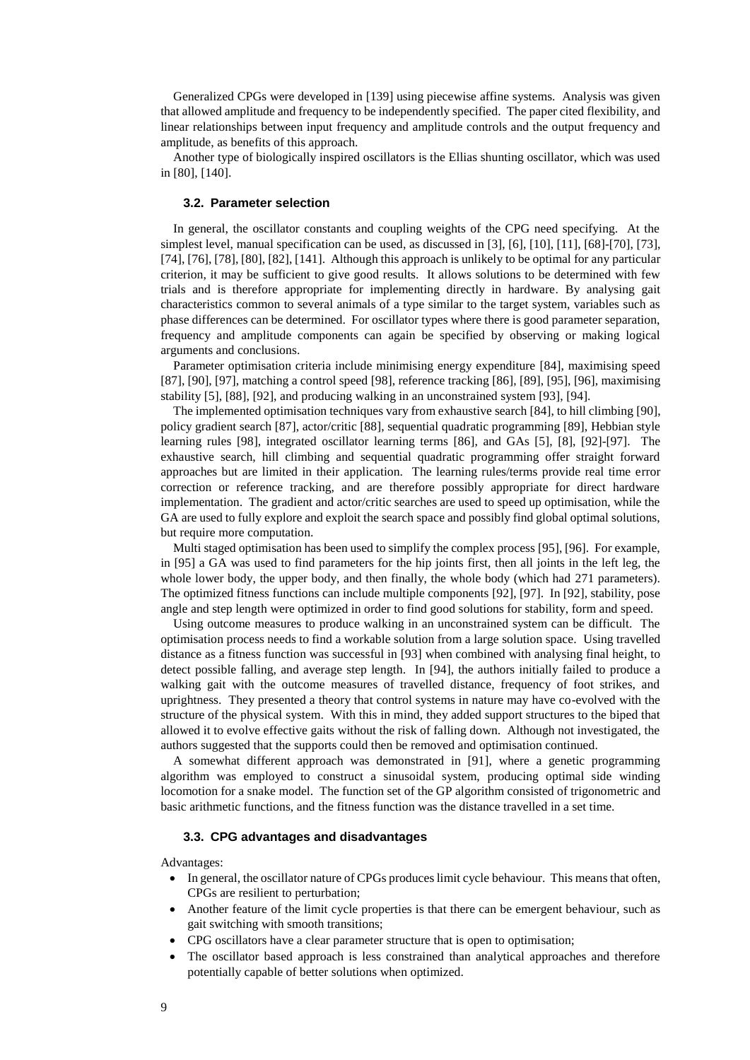Generalized CPGs were developed in [\[139\]](#page-23-0) using piecewise affine systems. Analysis was given that allowed amplitude and frequency to be independently specified. The paper cited flexibility, and linear relationships between input frequency and amplitude controls and the output frequency and amplitude, as benefits of this approach.

Another type of biologically inspired oscillators is the Ellias shunting oscillator, which was used in [\[80\]](#page-20-12), [\[140\]](#page-23-1).

### **3.2. Parameter selection**

In general, the oscillator constants and coupling weights of the CPG need specifying. At the simplest level, manual specification can be used, as discussed in [\[3\]](#page-17-7), [\[6\]](#page-17-3), [\[10\]](#page-17-8), [\[11\]](#page-17-9), [\[68\]](#page-19-10)-[\[70\]](#page-20-8), [\[73\]](#page-20-17), [\[74\]](#page-20-9), [\[76\]](#page-20-20), [\[78\]](#page-20-18), [\[80\]](#page-20-12), [\[82\]](#page-20-14), [\[141\]](#page-23-2). Although this approach is unlikely to be optimal for any particular criterion, it may be sufficient to give good results. It allows solutions to be determined with few trials and is therefore appropriate for implementing directly in hardware. By analysing gait characteristics common to several animals of a type similar to the target system, variables such as phase differences can be determined. For oscillator types where there is good parameter separation, frequency and amplitude components can again be specified by observing or making logical arguments and conclusions.

Parameter optimisation criteria include minimising energy expenditure [\[84\]](#page-20-1), maximising speed [\[87\]](#page-20-3), [\[90\]](#page-20-6), [\[97\]](#page-21-2), matching a control speed [\[98\]](#page-21-3), reference tracking [\[86\]](#page-20-2), [\[89\]](#page-20-5), [\[95\]](#page-21-15), [\[96\]](#page-21-16), maximising stability [\[5\]](#page-17-2), [\[88\]](#page-20-4), [\[92\]](#page-21-1), and producing walking in an unconstrained system [\[93\]](#page-21-20), [\[94\]](#page-21-14).

The implemented optimisation techniques vary from exhaustive search [\[84\]](#page-20-1), to hill climbing [\[90\]](#page-20-6), policy gradient search [\[87\]](#page-20-3), actor/critic [\[88\]](#page-20-4), sequential quadratic programming [\[89\]](#page-20-5), Hebbian style learning rules [\[98\]](#page-21-3), integrated oscillator learning terms [\[86\]](#page-20-2), and GAs [\[5\]](#page-17-2), [\[8\]](#page-17-5), [\[92\]](#page-21-1)-[\[97\]](#page-21-2). The exhaustive search, hill climbing and sequential quadratic programming offer straight forward approaches but are limited in their application. The learning rules/terms provide real time error correction or reference tracking, and are therefore possibly appropriate for direct hardware implementation. The gradient and actor/critic searches are used to speed up optimisation, while the GA are used to fully explore and exploit the search space and possibly find global optimal solutions, but require more computation.

Multi staged optimisation has been used to simplify the complex process [\[95\]](#page-21-15), [\[96\]](#page-21-16). For example, in [\[95\]](#page-21-15) a GA was used to find parameters for the hip joints first, then all joints in the left leg, the whole lower body, the upper body, and then finally, the whole body (which had 271 parameters). The optimized fitness functions can include multiple components [\[92\]](#page-21-1), [\[97\]](#page-21-2). In [\[92\]](#page-21-1), stability, pose angle and step length were optimized in order to find good solutions for stability, form and speed.

Using outcome measures to produce walking in an unconstrained system can be difficult. The optimisation process needs to find a workable solution from a large solution space. Using travelled distance as a fitness function was successful in [\[93\]](#page-21-20) when combined with analysing final height, to detect possible falling, and average step length. In [\[94\]](#page-21-14), the authors initially failed to produce a walking gait with the outcome measures of travelled distance, frequency of foot strikes, and uprightness. They presented a theory that control systems in nature may have co-evolved with the structure of the physical system. With this in mind, they added support structures to the biped that allowed it to evolve effective gaits without the risk of falling down. Although not investigated, the authors suggested that the supports could then be removed and optimisation continued.

A somewhat different approach was demonstrated in [\[91\]](#page-21-0), where a genetic programming algorithm was employed to construct a sinusoidal system, producing optimal side winding locomotion for a snake model. The function set of the GP algorithm consisted of trigonometric and basic arithmetic functions, and the fitness function was the distance travelled in a set time.

## **3.3. CPG advantages and disadvantages**

Advantages:

- In general, the oscillator nature of CPGs produces limit cycle behaviour. This means that often, CPGs are resilient to perturbation;
- Another feature of the limit cycle properties is that there can be emergent behaviour, such as gait switching with smooth transitions;
- CPG oscillators have a clear parameter structure that is open to optimisation;
- The oscillator based approach is less constrained than analytical approaches and therefore potentially capable of better solutions when optimized.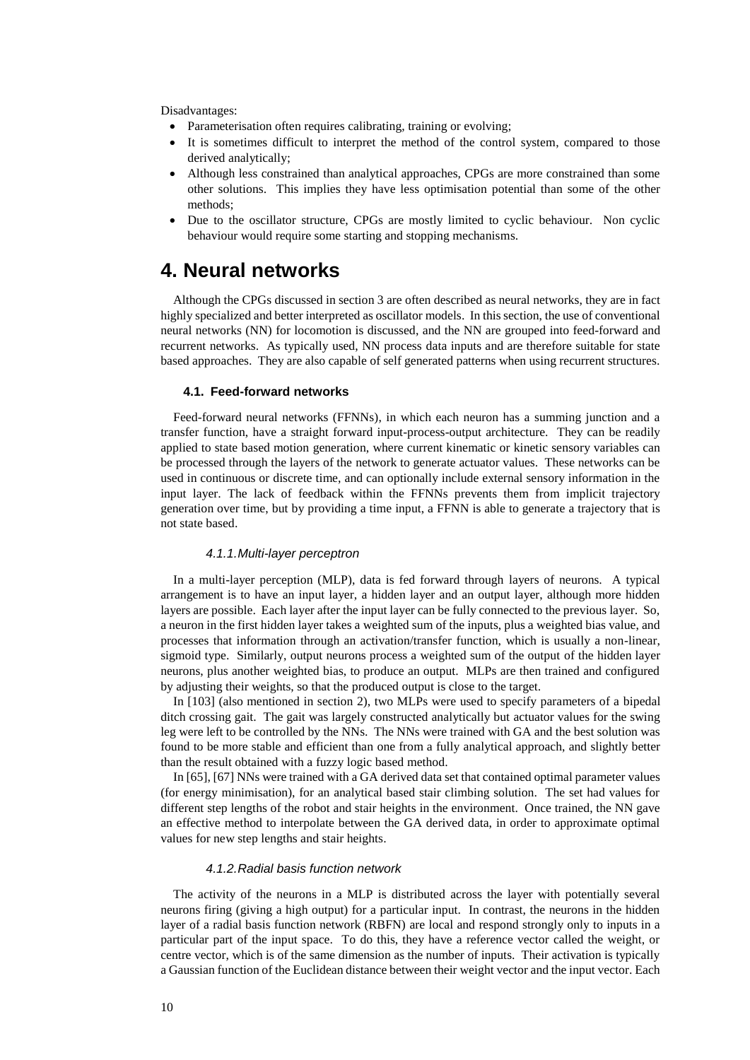Disadvantages:

- Parameterisation often requires calibrating, training or evolving;
- It is sometimes difficult to interpret the method of the control system, compared to those derived analytically;
- Although less constrained than analytical approaches, CPGs are more constrained than some other solutions. This implies they have less optimisation potential than some of the other methods;
- Due to the oscillator structure, CPGs are mostly limited to cyclic behaviour. Non cyclic behaviour would require some starting and stopping mechanisms.

## **4. Neural networks**

Although the CPGs discussed in section 3 are often described as neural networks, they are in fact highly specialized and better interpreted as oscillator models. In this section, the use of conventional neural networks (NN) for locomotion is discussed, and the NN are grouped into feed-forward and recurrent networks. As typically used, NN process data inputs and are therefore suitable for state based approaches. They are also capable of self generated patterns when using recurrent structures.

## **4.1. Feed-forward networks**

Feed-forward neural networks (FFNNs), in which each neuron has a summing junction and a transfer function, have a straight forward input-process-output architecture. They can be readily applied to state based motion generation, where current kinematic or kinetic sensory variables can be processed through the layers of the network to generate actuator values. These networks can be used in continuous or discrete time, and can optionally include external sensory information in the input layer. The lack of feedback within the FFNNs prevents them from implicit trajectory generation over time, but by providing a time input, a FFNN is able to generate a trajectory that is not state based.

#### *4.1.1.Multi-layer perceptron*

In a multi-layer perception (MLP), data is fed forward through layers of neurons. A typical arrangement is to have an input layer, a hidden layer and an output layer, although more hidden layers are possible. Each layer after the input layer can be fully connected to the previous layer. So, a neuron in the first hidden layer takes a weighted sum of the inputs, plus a weighted bias value, and processes that information through an activation/transfer function, which is usually a non-linear, sigmoid type. Similarly, output neurons process a weighted sum of the output of the hidden layer neurons, plus another weighted bias, to produce an output. MLPs are then trained and configured by adjusting their weights, so that the produced output is close to the target.

In [\[103\]](#page-21-7) (also mentioned in section 2), two MLPs were used to specify parameters of a bipedal ditch crossing gait. The gait was largely constructed analytically but actuator values for the swing leg were left to be controlled by the NNs. The NNs were trained with GA and the best solution was found to be more stable and efficient than one from a fully analytical approach, and slightly better than the result obtained with a fuzzy logic based method.

In [\[65\]](#page-19-7), [\[67\]](#page-19-8) NNs were trained with a GA derived data set that contained optimal parameter values (for energy minimisation), for an analytical based stair climbing solution. The set had values for different step lengths of the robot and stair heights in the environment. Once trained, the NN gave an effective method to interpolate between the GA derived data, in order to approximate optimal values for new step lengths and stair heights.

### *4.1.2.Radial basis function network*

The activity of the neurons in a MLP is distributed across the layer with potentially several neurons firing (giving a high output) for a particular input. In contrast, the neurons in the hidden layer of a radial basis function network (RBFN) are local and respond strongly only to inputs in a particular part of the input space. To do this, they have a reference vector called the weight, or centre vector, which is of the same dimension as the number of inputs. Their activation is typically a Gaussian function of the Euclidean distance between their weight vector and the input vector. Each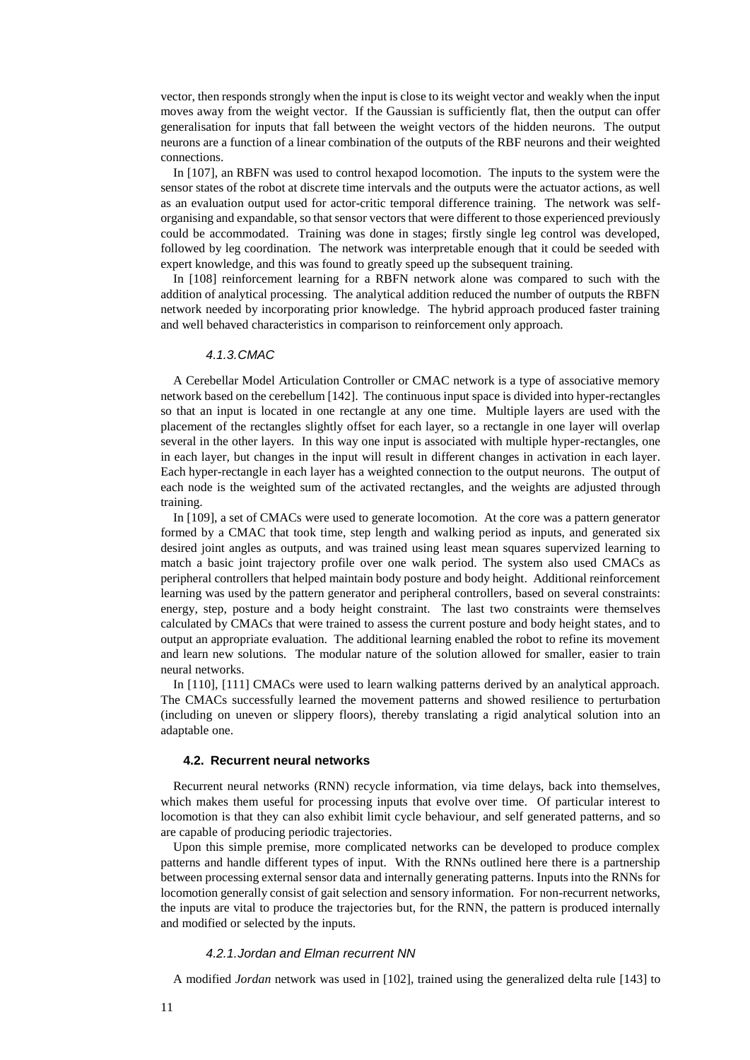vector, then responds strongly when the input is close to its weight vector and weakly when the input moves away from the weight vector. If the Gaussian is sufficiently flat, then the output can offer generalisation for inputs that fall between the weight vectors of the hidden neurons. The output neurons are a function of a linear combination of the outputs of the RBF neurons and their weighted connections.

In [\[107\]](#page-21-9), an RBFN was used to control hexapod locomotion. The inputs to the system were the sensor states of the robot at discrete time intervals and the outputs were the actuator actions, as well as an evaluation output used for actor-critic temporal difference training. The network was selforganising and expandable, so that sensor vectors that were different to those experienced previously could be accommodated. Training was done in stages; firstly single leg control was developed, followed by leg coordination. The network was interpretable enough that it could be seeded with expert knowledge, and this was found to greatly speed up the subsequent training.

In [\[108\]](#page-21-10) reinforcement learning for a RBFN network alone was compared to such with the addition of analytical processing. The analytical addition reduced the number of outputs the RBFN network needed by incorporating prior knowledge. The hybrid approach produced faster training and well behaved characteristics in comparison to reinforcement only approach.

## *4.1.3.CMAC*

A Cerebellar Model Articulation Controller or CMAC network is a type of associative memory network based on the cerebellum [\[142\]](#page-23-3). The continuous input space is divided into hyper-rectangles so that an input is located in one rectangle at any one time. Multiple layers are used with the placement of the rectangles slightly offset for each layer, so a rectangle in one layer will overlap several in the other layers. In this way one input is associated with multiple hyper-rectangles, one in each layer, but changes in the input will result in different changes in activation in each layer. Each hyper-rectangle in each layer has a weighted connection to the output neurons. The output of each node is the weighted sum of the activated rectangles, and the weights are adjusted through training.

In [\[109\]](#page-21-11), a set of CMACs were used to generate locomotion. At the core was a pattern generator formed by a CMAC that took time, step length and walking period as inputs, and generated six desired joint angles as outputs, and was trained using least mean squares supervized learning to match a basic joint trajectory profile over one walk period. The system also used CMACs as peripheral controllers that helped maintain body posture and body height. Additional reinforcement learning was used by the pattern generator and peripheral controllers, based on several constraints: energy, step, posture and a body height constraint. The last two constraints were themselves calculated by CMACs that were trained to assess the current posture and body height states, and to output an appropriate evaluation. The additional learning enabled the robot to refine its movement and learn new solutions. The modular nature of the solution allowed for smaller, easier to train neural networks.

In [\[110\]](#page-21-12), [\[111\]](#page-21-13) CMACs were used to learn walking patterns derived by an analytical approach. The CMACs successfully learned the movement patterns and showed resilience to perturbation (including on uneven or slippery floors), thereby translating a rigid analytical solution into an adaptable one.

#### **4.2. Recurrent neural networks**

Recurrent neural networks (RNN) recycle information, via time delays, back into themselves, which makes them useful for processing inputs that evolve over time. Of particular interest to locomotion is that they can also exhibit limit cycle behaviour, and self generated patterns, and so are capable of producing periodic trajectories.

Upon this simple premise, more complicated networks can be developed to produce complex patterns and handle different types of input. With the RNNs outlined here there is a partnership between processing external sensor data and internally generating patterns. Inputs into the RNNs for locomotion generally consist of gait selection and sensory information. For non-recurrent networks, the inputs are vital to produce the trajectories but, for the RNN, the pattern is produced internally and modified or selected by the inputs.

### *4.2.1.Jordan and Elman recurrent NN*

A modified *Jordan* network was used in [\[102\]](#page-21-6), trained using the generalized delta rule [\[143\]](#page-23-4) to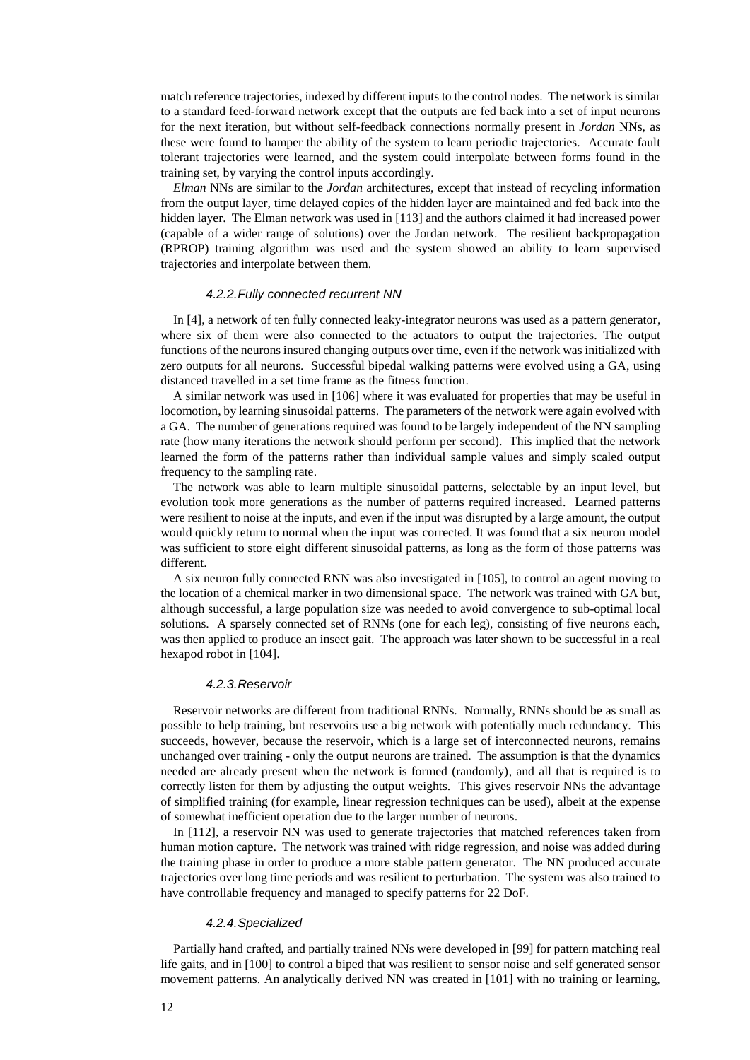match reference trajectories, indexed by different inputs to the control nodes. The network is similar to a standard feed-forward network except that the outputs are fed back into a set of input neurons for the next iteration, but without self-feedback connections normally present in *Jordan* NNs, as these were found to hamper the ability of the system to learn periodic trajectories. Accurate fault tolerant trajectories were learned, and the system could interpolate between forms found in the training set, by varying the control inputs accordingly.

*Elman* NNs are similar to the *Jordan* architectures, except that instead of recycling information from the output layer, time delayed copies of the hidden layer are maintained and fed back into the hidden layer. The Elman network was used in [\[113\]](#page-22-1) and the authors claimed it had increased power (capable of a wider range of solutions) over the Jordan network. The resilient backpropagation (RPROP) training algorithm was used and the system showed an ability to learn supervised trajectories and interpolate between them.

#### *4.2.2.Fully connected recurrent NN*

In [\[4\]](#page-17-1), a network of ten fully connected leaky-integrator neurons was used as a pattern generator, where six of them were also connected to the actuators to output the trajectories. The output functions of the neurons insured changing outputs over time, even if the network was initialized with zero outputs for all neurons. Successful bipedal walking patterns were evolved using a GA, using distanced travelled in a set time frame as the fitness function.

A similar network was used in [\[106\]](#page-21-8) where it was evaluated for properties that may be useful in locomotion, by learning sinusoidal patterns. The parameters of the network were again evolved with a GA. The number of generations required was found to be largely independent of the NN sampling rate (how many iterations the network should perform per second). This implied that the network learned the form of the patterns rather than individual sample values and simply scaled output frequency to the sampling rate.

The network was able to learn multiple sinusoidal patterns, selectable by an input level, but evolution took more generations as the number of patterns required increased. Learned patterns were resilient to noise at the inputs, and even if the input was disrupted by a large amount, the output would quickly return to normal when the input was corrected. It was found that a six neuron model was sufficient to store eight different sinusoidal patterns, as long as the form of those patterns was different.

A six neuron fully connected RNN was also investigated in [\[105\]](#page-21-19), to control an agent moving to the location of a chemical marker in two dimensional space. The network was trained with GA but, although successful, a large population size was needed to avoid convergence to sub-optimal local solutions. A sparsely connected set of RNNs (one for each leg), consisting of five neurons each, was then applied to produce an insect gait. The approach was later shown to be successful in a real hexapod robot in [\[104\]](#page-21-18).

#### *4.2.3.Reservoir*

Reservoir networks are different from traditional RNNs. Normally, RNNs should be as small as possible to help training, but reservoirs use a big network with potentially much redundancy. This succeeds, however, because the reservoir, which is a large set of interconnected neurons, remains unchanged over training - only the output neurons are trained. The assumption is that the dynamics needed are already present when the network is formed (randomly), and all that is required is to correctly listen for them by adjusting the output weights. This gives reservoir NNs the advantage of simplified training (for example, linear regression techniques can be used), albeit at the expense of somewhat inefficient operation due to the larger number of neurons.

In [\[112\]](#page-22-0), a reservoir NN was used to generate trajectories that matched references taken from human motion capture. The network was trained with ridge regression, and noise was added during the training phase in order to produce a more stable pattern generator. The NN produced accurate trajectories over long time periods and was resilient to perturbation. The system was also trained to have controllable frequency and managed to specify patterns for 22 DoF.

#### *4.2.4.Specialized*

Partially hand crafted, and partially trained NNs were developed in [\[99\]](#page-21-4) for pattern matching real life gaits, and in [\[100\]](#page-21-17) to control a biped that was resilient to sensor noise and self generated sensor movement patterns. An analytically derived NN was created in [\[101\]](#page-21-5) with no training or learning,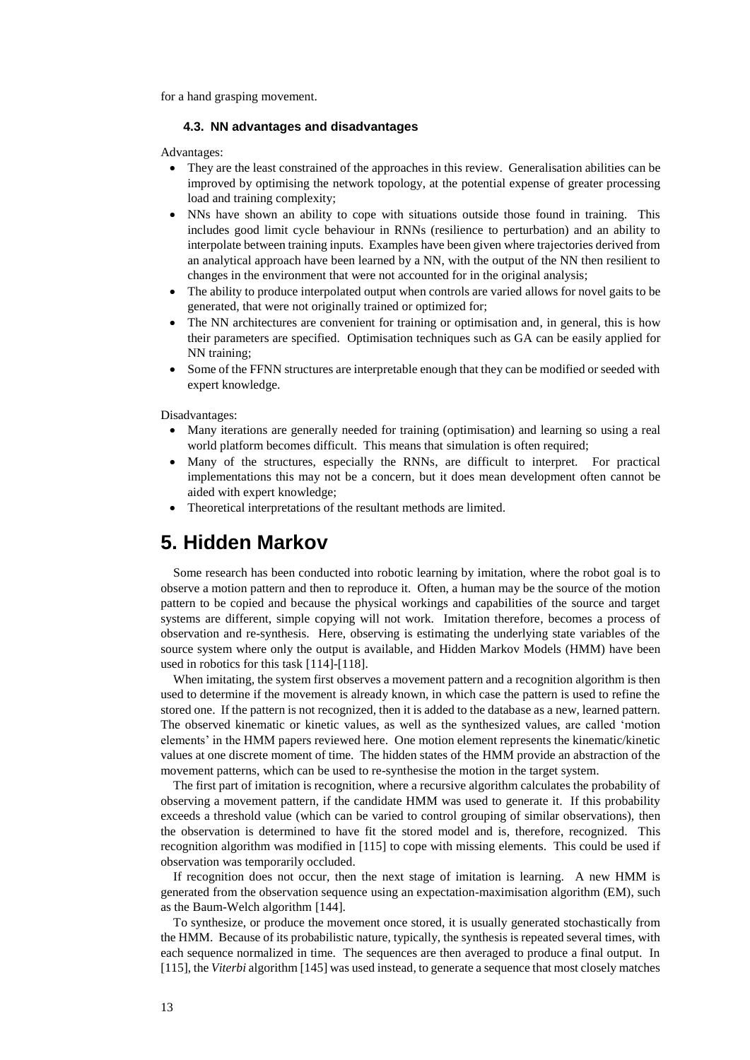for a hand grasping movement.

## **4.3. NN advantages and disadvantages**

Advantages:

- They are the least constrained of the approaches in this review. Generalisation abilities can be improved by optimising the network topology, at the potential expense of greater processing load and training complexity;
- NNs have shown an ability to cope with situations outside those found in training. This includes good limit cycle behaviour in RNNs (resilience to perturbation) and an ability to interpolate between training inputs. Examples have been given where trajectories derived from an analytical approach have been learned by a NN, with the output of the NN then resilient to changes in the environment that were not accounted for in the original analysis;
- The ability to produce interpolated output when controls are varied allows for novel gaits to be generated, that were not originally trained or optimized for;
- The NN architectures are convenient for training or optimisation and, in general, this is how their parameters are specified. Optimisation techniques such as GA can be easily applied for NN training;
- Some of the FFNN structures are interpretable enough that they can be modified or seeded with expert knowledge.

Disadvantages:

- Many iterations are generally needed for training (optimisation) and learning so using a real world platform becomes difficult. This means that simulation is often required;
- Many of the structures, especially the RNNs, are difficult to interpret. For practical implementations this may not be a concern, but it does mean development often cannot be aided with expert knowledge;
- Theoretical interpretations of the resultant methods are limited.

## **5. Hidden Markov**

Some research has been conducted into robotic learning by imitation, where the robot goal is to observe a motion pattern and then to reproduce it. Often, a human may be the source of the motion pattern to be copied and because the physical workings and capabilities of the source and target systems are different, simple copying will not work. Imitation therefore, becomes a process of observation and re-synthesis. Here, observing is estimating the underlying state variables of the source system where only the output is available, and Hidden Markov Models (HMM) have been used in robotics for this task [\[114\]](#page-22-2)-[\[118\]](#page-22-5).

When imitating, the system first observes a movement pattern and a recognition algorithm is then used to determine if the movement is already known, in which case the pattern is used to refine the stored one. If the pattern is not recognized, then it is added to the database as a new, learned pattern. The observed kinematic or kinetic values, as well as the synthesized values, are called 'motion elements' in the HMM papers reviewed here. One motion element represents the kinematic/kinetic values at one discrete moment of time. The hidden states of the HMM provide an abstraction of the movement patterns, which can be used to re-synthesise the motion in the target system.

The first part of imitation is recognition, where a recursive algorithm calculates the probability of observing a movement pattern, if the candidate HMM was used to generate it. If this probability exceeds a threshold value (which can be varied to control grouping of similar observations), then the observation is determined to have fit the stored model and is, therefore, recognized. This recognition algorithm was modified in [\[115\]](#page-22-24) to cope with missing elements. This could be used if observation was temporarily occluded.

If recognition does not occur, then the next stage of imitation is learning. A new HMM is generated from the observation sequence using an expectation-maximisation algorithm (EM), such as the Baum-Welch algorithm [\[144\]](#page-23-5).

To synthesize, or produce the movement once stored, it is usually generated stochastically from the HMM. Because of its probabilistic nature, typically, the synthesis is repeated several times, with each sequence normalized in time. The sequences are then averaged to produce a final output. In [\[115\]](#page-22-24), the *Viterbi* algorithm [\[145\]](#page-23-6) was used instead, to generate a sequence that most closely matches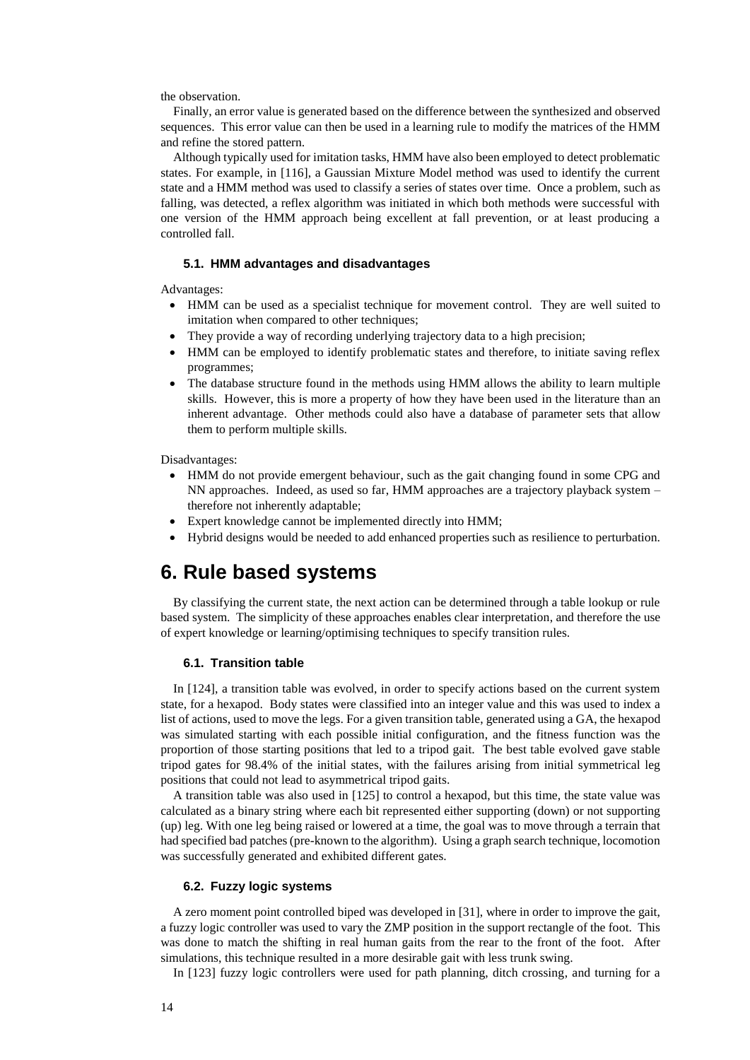the observation.

Finally, an error value is generated based on the difference between the synthesized and observed sequences. This error value can then be used in a learning rule to modify the matrices of the HMM and refine the stored pattern.

Although typically used for imitation tasks, HMM have also been employed to detect problematic states. For example, in [\[116\]](#page-22-3), a Gaussian Mixture Model method was used to identify the current state and a HMM method was used to classify a series of states over time. Once a problem, such as falling, was detected, a reflex algorithm was initiated in which both methods were successful with one version of the HMM approach being excellent at fall prevention, or at least producing a controlled fall.

### **5.1. HMM advantages and disadvantages**

Advantages:

- HMM can be used as a specialist technique for movement control. They are well suited to imitation when compared to other techniques;
- They provide a way of recording underlying trajectory data to a high precision;
- HMM can be employed to identify problematic states and therefore, to initiate saving reflex programmes;
- The database structure found in the methods using HMM allows the ability to learn multiple skills. However, this is more a property of how they have been used in the literature than an inherent advantage. Other methods could also have a database of parameter sets that allow them to perform multiple skills.

Disadvantages:

- HMM do not provide emergent behaviour, such as the gait changing found in some CPG and NN approaches. Indeed, as used so far, HMM approaches are a trajectory playback system – therefore not inherently adaptable;
- Expert knowledge cannot be implemented directly into HMM;
- Hybrid designs would be needed to add enhanced properties such as resilience to perturbation.

## **6. Rule based systems**

By classifying the current state, the next action can be determined through a table lookup or rule based system. The simplicity of these approaches enables clear interpretation, and therefore the use of expert knowledge or learning/optimising techniques to specify transition rules.

### **6.1. Transition table**

In [\[124\]](#page-22-9), a transition table was evolved, in order to specify actions based on the current system state, for a hexapod. Body states were classified into an integer value and this was used to index a list of actions, used to move the legs. For a given transition table, generated using a GA, the hexapod was simulated starting with each possible initial configuration, and the fitness function was the proportion of those starting positions that led to a tripod gait. The best table evolved gave stable tripod gates for 98.4% of the initial states, with the failures arising from initial symmetrical leg positions that could not lead to asymmetrical tripod gaits.

A transition table was also used in [\[125\]](#page-22-10) to control a hexapod, but this time, the state value was calculated as a binary string where each bit represented either supporting (down) or not supporting (up) leg. With one leg being raised or lowered at a time, the goal was to move through a terrain that had specified bad patches (pre-known to the algorithm). Using a graph search technique, locomotion was successfully generated and exhibited different gates.

## **6.2. Fuzzy logic systems**

A zero moment point controlled biped was developed in [\[31\]](#page-18-0), where in order to improve the gait, a fuzzy logic controller was used to vary the ZMP position in the support rectangle of the foot. This was done to match the shifting in real human gaits from the rear to the front of the foot. After simulations, this technique resulted in a more desirable gait with less trunk swing.

In [\[123\]](#page-22-13) fuzzy logic controllers were used for path planning, ditch crossing, and turning for a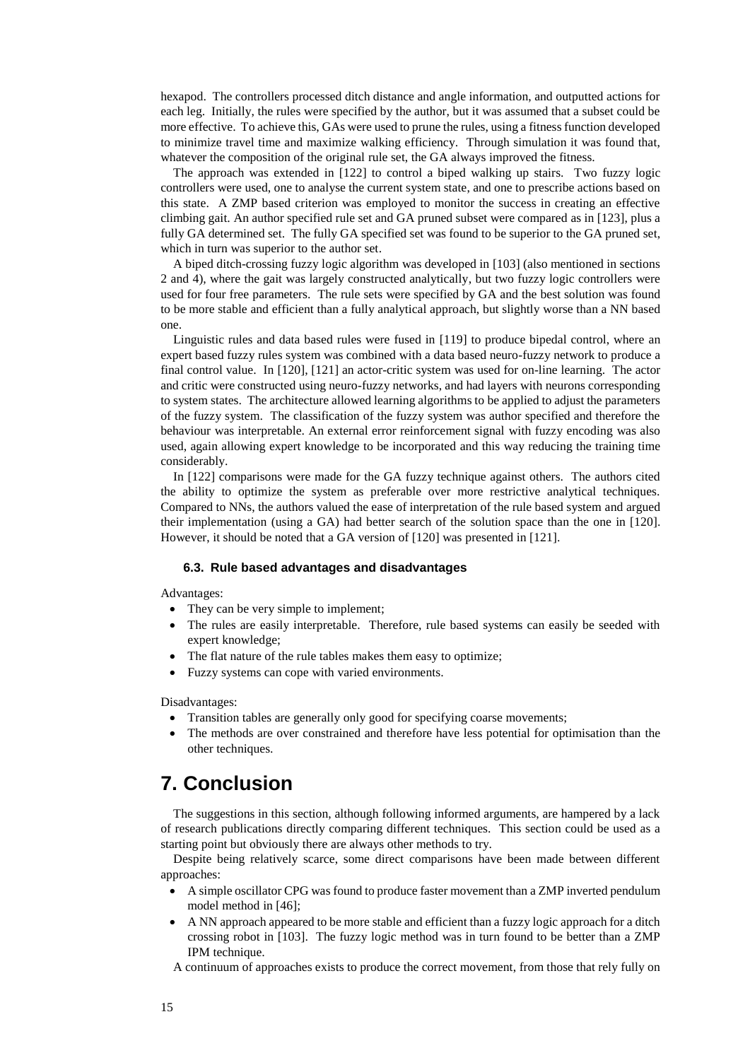hexapod. The controllers processed ditch distance and angle information, and outputted actions for each leg. Initially, the rules were specified by the author, but it was assumed that a subset could be more effective. To achieve this, GAs were used to prune the rules, using a fitness function developed to minimize travel time and maximize walking efficiency. Through simulation it was found that, whatever the composition of the original rule set, the GA always improved the fitness.

The approach was extended in [\[122\]](#page-22-12) to control a biped walking up stairs. Two fuzzy logic controllers were used, one to analyse the current system state, and one to prescribe actions based on this state. A ZMP based criterion was employed to monitor the success in creating an effective climbing gait. An author specified rule set and GA pruned subset were compared as in [\[123\]](#page-22-13), plus a fully GA determined set. The fully GA specified set was found to be superior to the GA pruned set, which in turn was superior to the author set.

A biped ditch-crossing fuzzy logic algorithm was developed in [\[103\]](#page-21-7) (also mentioned in sections 2 and 4), where the gait was largely constructed analytically, but two fuzzy logic controllers were used for four free parameters. The rule sets were specified by GA and the best solution was found to be more stable and efficient than a fully analytical approach, but slightly worse than a NN based one.

Linguistic rules and data based rules were fused in [\[119\]](#page-22-6) to produce bipedal control, where an expert based fuzzy rules system was combined with a data based neuro-fuzzy network to produce a final control value. In [\[120\]](#page-22-7), [\[121\]](#page-22-8) an actor-critic system was used for on-line learning. The actor and critic were constructed using neuro-fuzzy networks, and had layers with neurons corresponding to system states. The architecture allowed learning algorithms to be applied to adjust the parameters of the fuzzy system. The classification of the fuzzy system was author specified and therefore the behaviour was interpretable. An external error reinforcement signal with fuzzy encoding was also used, again allowing expert knowledge to be incorporated and this way reducing the training time considerably.

In [\[122\]](#page-22-12) comparisons were made for the GA fuzzy technique against others. The authors cited the ability to optimize the system as preferable over more restrictive analytical techniques. Compared to NNs, the authors valued the ease of interpretation of the rule based system and argued their implementation (using a GA) had better search of the solution space than the one in [\[120\]](#page-22-7). However, it should be noted that a GA version of [\[120\]](#page-22-7) was presented in [\[121\]](#page-22-8).

### **6.3. Rule based advantages and disadvantages**

Advantages:

- They can be very simple to implement;
- The rules are easily interpretable. Therefore, rule based systems can easily be seeded with expert knowledge;
- The flat nature of the rule tables makes them easy to optimize;
- Fuzzy systems can cope with varied environments.

Disadvantages:

- Transition tables are generally only good for specifying coarse movements;
- The methods are over constrained and therefore have less potential for optimisation than the other techniques.

## **7. Conclusion**

The suggestions in this section, although following informed arguments, are hampered by a lack of research publications directly comparing different techniques. This section could be used as a starting point but obviously there are always other methods to try.

Despite being relatively scarce, some direct comparisons have been made between different approaches:

- A simple oscillator CPG was found to produce faster movement than a ZMP inverted pendulum model method in [\[46\]](#page-19-9);
- A NN approach appeared to be more stable and efficient than a fuzzy logic approach for a ditch crossing robot in [\[103\]](#page-21-7). The fuzzy logic method was in turn found to be better than a ZMP IPM technique.

A continuum of approaches exists to produce the correct movement, from those that rely fully on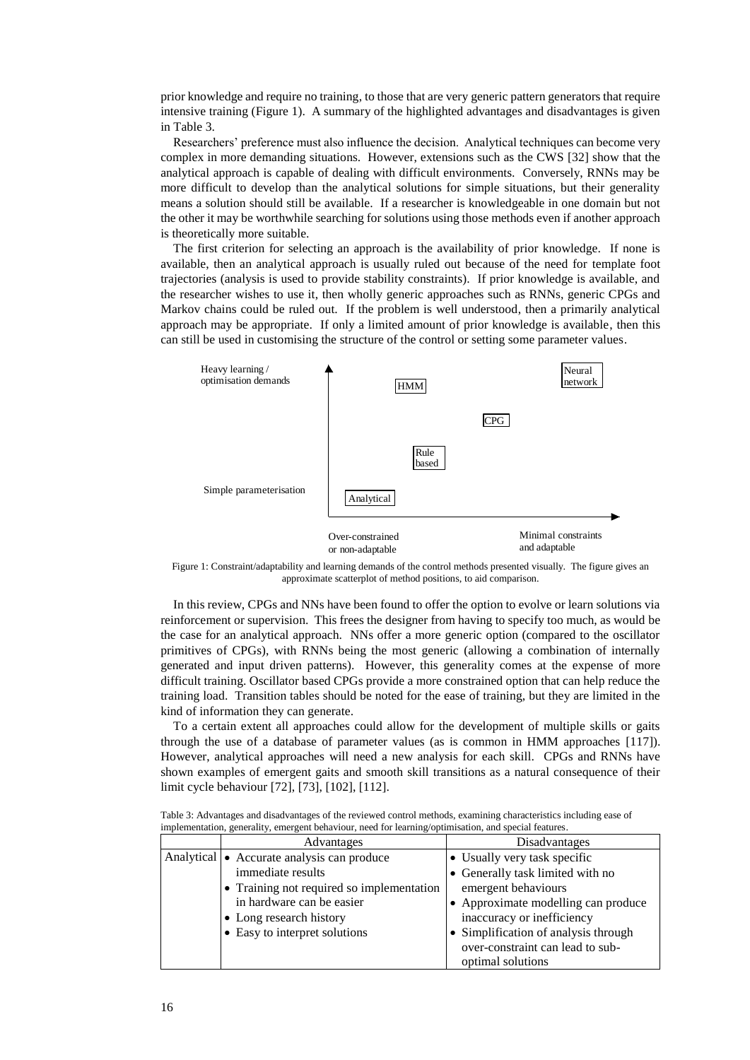prior knowledge and require no training, to those that are very generic pattern generators that require intensive training (Figure 1). A summary of the highlighted advantages and disadvantages is given in Table 3.

Researchers' preference must also influence the decision. Analytical techniques can become very complex in more demanding situations. However, extensions such as the CWS [\[32\]](#page-18-1) show that the analytical approach is capable of dealing with difficult environments. Conversely, RNNs may be more difficult to develop than the analytical solutions for simple situations, but their generality means a solution should still be available. If a researcher is knowledgeable in one domain but not the other it may be worthwhile searching for solutions using those methods even if another approach is theoretically more suitable.

The first criterion for selecting an approach is the availability of prior knowledge. If none is available, then an analytical approach is usually ruled out because of the need for template foot trajectories (analysis is used to provide stability constraints). If prior knowledge is available, and the researcher wishes to use it, then wholly generic approaches such as RNNs, generic CPGs and Markov chains could be ruled out. If the problem is well understood, then a primarily analytical approach may be appropriate. If only a limited amount of prior knowledge is available, then this can still be used in customising the structure of the control or setting some parameter values.



Figure 1: Constraint/adaptability and learning demands of the control methods presented visually. The figure gives an approximate scatterplot of method positions, to aid comparison.

In this review, CPGs and NNs have been found to offer the option to evolve or learn solutions via reinforcement or supervision. This frees the designer from having to specify too much, as would be the case for an analytical approach. NNs offer a more generic option (compared to the oscillator primitives of CPGs), with RNNs being the most generic (allowing a combination of internally generated and input driven patterns). However, this generality comes at the expense of more difficult training. Oscillator based CPGs provide a more constrained option that can help reduce the training load. Transition tables should be noted for the ease of training, but they are limited in the kind of information they can generate.

To a certain extent all approaches could allow for the development of multiple skills or gaits through the use of a database of parameter values (as is common in HMM approaches [\[117\]](#page-22-4)). However, analytical approaches will need a new analysis for each skill. CPGs and RNNs have shown examples of emergent gaits and smooth skill transitions as a natural consequence of their limit cycle behaviour [\[72\]](#page-20-16), [\[73\]](#page-20-17), [\[102\]](#page-21-6), [\[112\]](#page-22-0).

Table 3: Advantages and disadvantages of the reviewed control methods, examining characteristics including ease of implementation, generality, emergent behaviour, need for learning/optimisation, and special features.

| Advantages                                 | Disadvantages                        |
|--------------------------------------------|--------------------------------------|
| Analytical • Accurate analysis can produce | • Usually very task specific         |
| immediate results                          | • Generally task limited with no     |
| • Training not required so implementation  | emergent behaviours                  |
| in hardware can be easier                  | Approximate modelling can produce    |
| • Long research history                    | inaccuracy or inefficiency           |
| • Easy to interpret solutions              | • Simplification of analysis through |
|                                            | over-constraint can lead to sub-     |
|                                            | optimal solutions                    |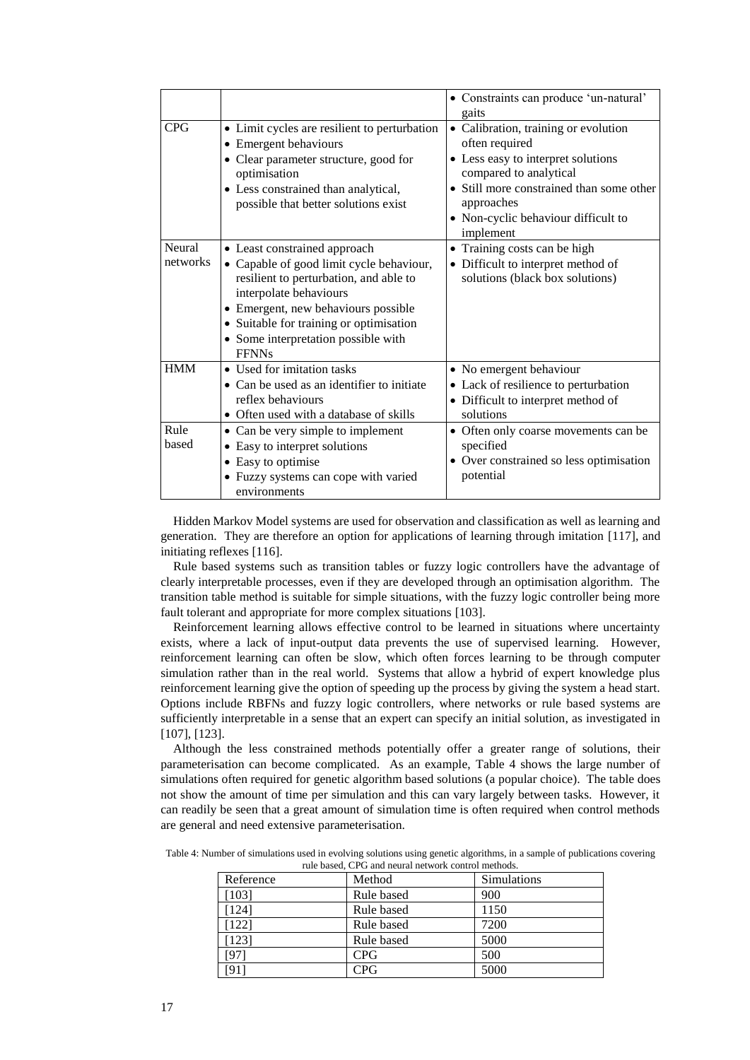|                    |                                                                                                                                                                                                                                                                                       | • Constraints can produce 'un-natural'<br>gaits                                                                                                                                                                                    |
|--------------------|---------------------------------------------------------------------------------------------------------------------------------------------------------------------------------------------------------------------------------------------------------------------------------------|------------------------------------------------------------------------------------------------------------------------------------------------------------------------------------------------------------------------------------|
| <b>CPG</b>         | • Limit cycles are resilient to perturbation<br>• Emergent behaviours<br>• Clear parameter structure, good for<br>optimisation<br>• Less constrained than analytical,<br>possible that better solutions exist                                                                         | • Calibration, training or evolution<br>often required<br>• Less easy to interpret solutions<br>compared to analytical<br>Still more constrained than some other<br>approaches<br>• Non-cyclic behaviour difficult to<br>implement |
| Neural<br>networks | • Least constrained approach<br>• Capable of good limit cycle behaviour,<br>resilient to perturbation, and able to<br>interpolate behaviours<br>• Emergent, new behaviours possible<br>• Suitable for training or optimisation<br>• Some interpretation possible with<br><b>FFNNs</b> | • Training costs can be high<br>Difficult to interpret method of<br>solutions (black box solutions)                                                                                                                                |
| <b>HMM</b>         | • Used for imitation tasks<br>• Can be used as an identifier to initiate<br>reflex behaviours<br>• Often used with a database of skills                                                                                                                                               | • No emergent behaviour<br>Lack of resilience to perturbation<br>• Difficult to interpret method of<br>solutions                                                                                                                   |
| Rule<br>based      | • Can be very simple to implement<br>• Easy to interpret solutions<br>• Easy to optimise<br>• Fuzzy systems can cope with varied<br>environments                                                                                                                                      | • Often only coarse movements can be<br>specified<br>Over constrained so less optimisation<br>potential                                                                                                                            |

Hidden Markov Model systems are used for observation and classification as well as learning and generation. They are therefore an option for applications of learning through imitation [\[117\]](#page-22-4), and initiating reflexes [\[116\]](#page-22-3).

Rule based systems such as transition tables or fuzzy logic controllers have the advantage of clearly interpretable processes, even if they are developed through an optimisation algorithm. The transition table method is suitable for simple situations, with the fuzzy logic controller being more fault tolerant and appropriate for more complex situations [\[103\]](#page-21-7).

Reinforcement learning allows effective control to be learned in situations where uncertainty exists, where a lack of input-output data prevents the use of supervised learning. However, reinforcement learning can often be slow, which often forces learning to be through computer simulation rather than in the real world. Systems that allow a hybrid of expert knowledge plus reinforcement learning give the option of speeding up the process by giving the system a head start. Options include RBFNs and fuzzy logic controllers, where networks or rule based systems are sufficiently interpretable in a sense that an expert can specify an initial solution, as investigated in [\[107\]](#page-21-9), [\[123\]](#page-22-13).

Although the less constrained methods potentially offer a greater range of solutions, their parameterisation can become complicated. As an example, Table 4 shows the large number of simulations often required for genetic algorithm based solutions (a popular choice). The table does not show the amount of time per simulation and this can vary largely between tasks. However, it can readily be seen that a great amount of simulation time is often required when control methods are general and need extensive parameterisation.

Table 4: Number of simulations used in evolving solutions using genetic algorithms, in a sample of publications covering rule based, CPG and neural network control methods.

| Reference | Method     | Simulations |
|-----------|------------|-------------|
| [103]     | Rule based | 900         |
| [124]     | Rule based | 1150        |
| [122]     | Rule based | 7200        |
| [123]     | Rule based | 5000        |
| [97]      | <b>CPG</b> | 500         |
| [91]      | <b>CPG</b> | 5000        |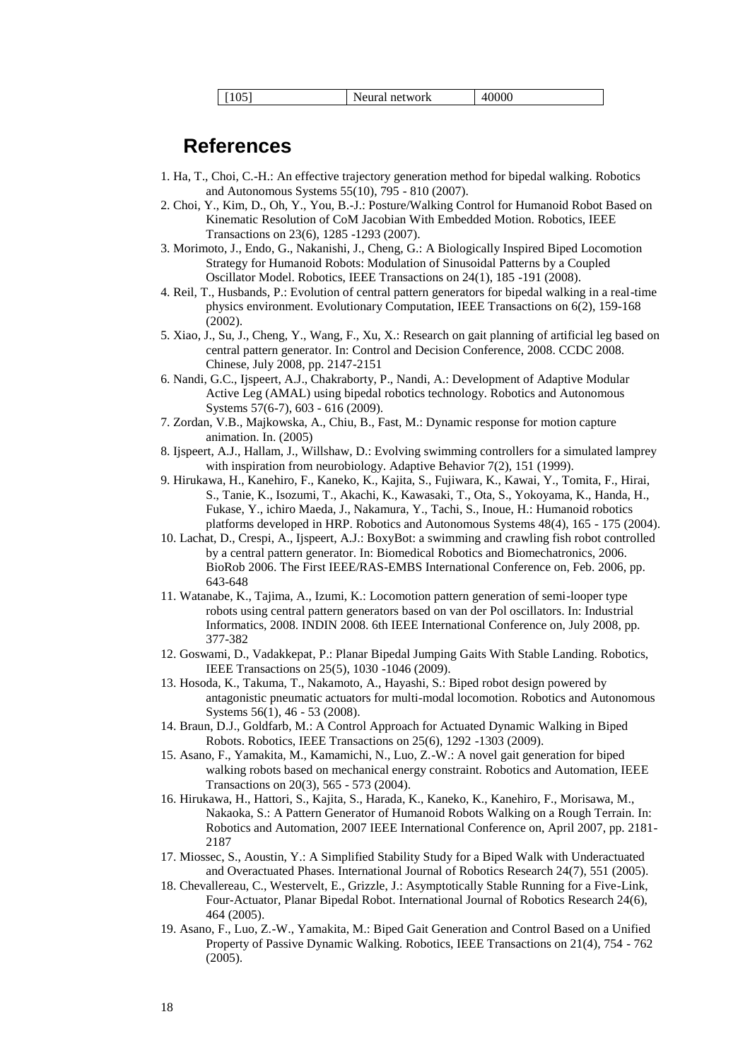| <b>1051</b><br>40000<br>Neural network<br>1 V J |  |
|-------------------------------------------------|--|
|-------------------------------------------------|--|

## **References**

- <span id="page-17-0"></span>1. Ha, T., Choi, C.-H.: An effective trajectory generation method for bipedal walking. Robotics and Autonomous Systems 55(10), 795 - 810 (2007).
- <span id="page-17-10"></span>2. Choi, Y., Kim, D., Oh, Y., You, B.-J.: Posture/Walking Control for Humanoid Robot Based on Kinematic Resolution of CoM Jacobian With Embedded Motion. Robotics, IEEE Transactions on 23(6), 1285 -1293 (2007).
- <span id="page-17-7"></span>3. Morimoto, J., Endo, G., Nakanishi, J., Cheng, G.: A Biologically Inspired Biped Locomotion Strategy for Humanoid Robots: Modulation of Sinusoidal Patterns by a Coupled Oscillator Model. Robotics, IEEE Transactions on 24(1), 185 -191 (2008).
- <span id="page-17-1"></span>4. Reil, T., Husbands, P.: Evolution of central pattern generators for bipedal walking in a real-time physics environment. Evolutionary Computation, IEEE Transactions on 6(2), 159-168 (2002).
- <span id="page-17-2"></span>5. Xiao, J., Su, J., Cheng, Y., Wang, F., Xu, X.: Research on gait planning of artificial leg based on central pattern generator. In: Control and Decision Conference, 2008. CCDC 2008. Chinese, July 2008, pp. 2147-2151
- <span id="page-17-3"></span>6. Nandi, G.C., Ijspeert, A.J., Chakraborty, P., Nandi, A.: Development of Adaptive Modular Active Leg (AMAL) using bipedal robotics technology. Robotics and Autonomous Systems 57(6-7), 603 - 616 (2009).
- <span id="page-17-4"></span>7. Zordan, V.B., Majkowska, A., Chiu, B., Fast, M.: Dynamic response for motion capture animation. In. (2005)
- <span id="page-17-5"></span>8. Ijspeert, A.J., Hallam, J., Willshaw, D.: Evolving swimming controllers for a simulated lamprey with inspiration from neurobiology. Adaptive Behavior 7(2), 151 (1999).
- <span id="page-17-6"></span>9. Hirukawa, H., Kanehiro, F., Kaneko, K., Kajita, S., Fujiwara, K., Kawai, Y., Tomita, F., Hirai, S., Tanie, K., Isozumi, T., Akachi, K., Kawasaki, T., Ota, S., Yokoyama, K., Handa, H., Fukase, Y., ichiro Maeda, J., Nakamura, Y., Tachi, S., Inoue, H.: Humanoid robotics platforms developed in HRP. Robotics and Autonomous Systems 48(4), 165 - 175 (2004).
- <span id="page-17-8"></span>10. Lachat, D., Crespi, A., Ijspeert, A.J.: BoxyBot: a swimming and crawling fish robot controlled by a central pattern generator. In: Biomedical Robotics and Biomechatronics, 2006. BioRob 2006. The First IEEE/RAS-EMBS International Conference on, Feb. 2006, pp. 643-648
- <span id="page-17-9"></span>11. Watanabe, K., Tajima, A., Izumi, K.: Locomotion pattern generation of semi-looper type robots using central pattern generators based on van der Pol oscillators. In: Industrial Informatics, 2008. INDIN 2008. 6th IEEE International Conference on, July 2008, pp. 377-382
- <span id="page-17-11"></span>12. Goswami, D., Vadakkepat, P.: Planar Bipedal Jumping Gaits With Stable Landing. Robotics, IEEE Transactions on 25(5), 1030 -1046 (2009).
- <span id="page-17-13"></span>13. Hosoda, K., Takuma, T., Nakamoto, A., Hayashi, S.: Biped robot design powered by antagonistic pneumatic actuators for multi-modal locomotion. Robotics and Autonomous Systems 56(1), 46 - 53 (2008).
- <span id="page-17-12"></span>14. Braun, D.J., Goldfarb, M.: A Control Approach for Actuated Dynamic Walking in Biped Robots. Robotics, IEEE Transactions on 25(6), 1292 -1303 (2009).
- <span id="page-17-14"></span>15. Asano, F., Yamakita, M., Kamamichi, N., Luo, Z.-W.: A novel gait generation for biped walking robots based on mechanical energy constraint. Robotics and Automation, IEEE Transactions on 20(3), 565 - 573 (2004).
- <span id="page-17-16"></span>16. Hirukawa, H., Hattori, S., Kajita, S., Harada, K., Kaneko, K., Kanehiro, F., Morisawa, M., Nakaoka, S.: A Pattern Generator of Humanoid Robots Walking on a Rough Terrain. In: Robotics and Automation, 2007 IEEE International Conference on, April 2007, pp. 2181- 2187
- <span id="page-17-17"></span>17. Miossec, S., Aoustin, Y.: A Simplified Stability Study for a Biped Walk with Underactuated and Overactuated Phases. International Journal of Robotics Research 24(7), 551 (2005).
- 18. Chevallereau, C., Westervelt, E., Grizzle, J.: Asymptotically Stable Running for a Five-Link, Four-Actuator, Planar Bipedal Robot. International Journal of Robotics Research 24(6), 464 (2005).
- <span id="page-17-15"></span>19. Asano, F., Luo, Z.-W., Yamakita, M.: Biped Gait Generation and Control Based on a Unified Property of Passive Dynamic Walking. Robotics, IEEE Transactions on 21(4), 754 - 762 (2005).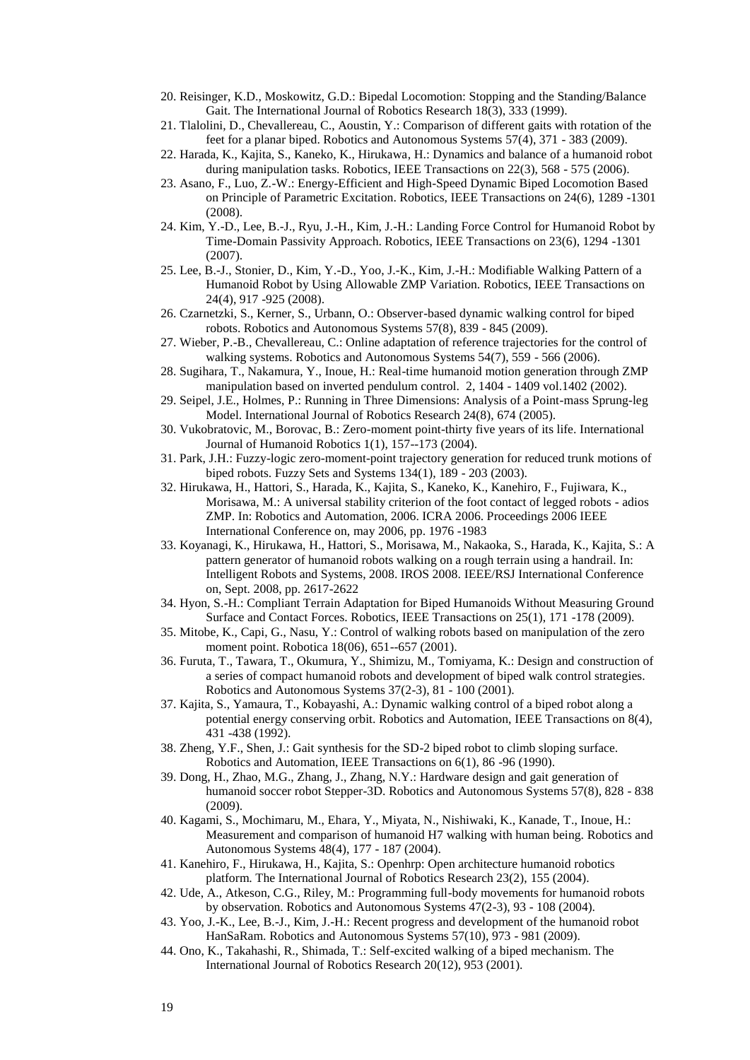- <span id="page-18-20"></span>20. Reisinger, K.D., Moskowitz, G.D.: Bipedal Locomotion: Stopping and the Standing/Balance Gait. The International Journal of Robotics Research 18(3), 333 (1999).
- <span id="page-18-18"></span>21. Tlalolini, D., Chevallereau, C., Aoustin, Y.: Comparison of different gaits with rotation of the feet for a planar biped. Robotics and Autonomous Systems 57(4), 371 - 383 (2009).
- <span id="page-18-15"></span>22. Harada, K., Kajita, S., Kaneko, K., Hirukawa, H.: Dynamics and balance of a humanoid robot during manipulation tasks. Robotics, IEEE Transactions on 22(3), 568 - 575 (2006).
- <span id="page-18-19"></span>23. Asano, F., Luo, Z.-W.: Energy-Efficient and High-Speed Dynamic Biped Locomotion Based on Principle of Parametric Excitation. Robotics, IEEE Transactions on 24(6), 1289 -1301 (2008).
- <span id="page-18-5"></span>24. Kim, Y.-D., Lee, B.-J., Ryu, J.-H., Kim, J.-H.: Landing Force Control for Humanoid Robot by Time-Domain Passivity Approach. Robotics, IEEE Transactions on 23(6), 1294 -1301 (2007).
- <span id="page-18-9"></span>25. Lee, B.-J., Stonier, D., Kim, Y.-D., Yoo, J.-K., Kim, J.-H.: Modifiable Walking Pattern of a Humanoid Robot by Using Allowable ZMP Variation. Robotics, IEEE Transactions on 24(4), 917 -925 (2008).
- <span id="page-18-8"></span>26. Czarnetzki, S., Kerner, S., Urbann, O.: Observer-based dynamic walking control for biped robots. Robotics and Autonomous Systems 57(8), 839 - 845 (2009).
- <span id="page-18-22"></span>27. Wieber, P.-B., Chevallereau, C.: Online adaptation of reference trajectories for the control of walking systems. Robotics and Autonomous Systems 54(7), 559 - 566 (2006).
- <span id="page-18-4"></span>28. Sugihara, T., Nakamura, Y., Inoue, H.: Real-time humanoid motion generation through ZMP manipulation based on inverted pendulum control. 2, 1404 - 1409 vol.1402 (2002).
- <span id="page-18-24"></span>29. Seipel, J.E., Holmes, P.: Running in Three Dimensions: Analysis of a Point-mass Sprung-leg Model. International Journal of Robotics Research 24(8), 674 (2005).
- <span id="page-18-3"></span>30. Vukobratovic, M., Borovac, B.: Zero-moment point-thirty five years of its life. International Journal of Humanoid Robotics 1(1), 157--173 (2004).
- <span id="page-18-0"></span>31. Park, J.H.: Fuzzy-logic zero-moment-point trajectory generation for reduced trunk motions of biped robots. Fuzzy Sets and Systems 134(1), 189 - 203 (2003).
- <span id="page-18-1"></span>32. Hirukawa, H., Hattori, S., Harada, K., Kajita, S., Kaneko, K., Kanehiro, F., Fujiwara, K., Morisawa, M.: A universal stability criterion of the foot contact of legged robots - adios ZMP. In: Robotics and Automation, 2006. ICRA 2006. Proceedings 2006 IEEE International Conference on, may 2006, pp. 1976 -1983
- <span id="page-18-2"></span>33. Koyanagi, K., Hirukawa, H., Hattori, S., Morisawa, M., Nakaoka, S., Harada, K., Kajita, S.: A pattern generator of humanoid robots walking on a rough terrain using a handrail. In: Intelligent Robots and Systems, 2008. IROS 2008. IEEE/RSJ International Conference on, Sept. 2008, pp. 2617-2622
- <span id="page-18-14"></span>34. Hyon, S.-H.: Compliant Terrain Adaptation for Biped Humanoids Without Measuring Ground Surface and Contact Forces. Robotics, IEEE Transactions on 25(1), 171 -178 (2009).
- <span id="page-18-11"></span>35. Mitobe, K., Capi, G., Nasu, Y.: Control of walking robots based on manipulation of the zero moment point. Robotica 18(06), 651--657 (2001).
- <span id="page-18-10"></span>36. Furuta, T., Tawara, T., Okumura, Y., Shimizu, M., Tomiyama, K.: Design and construction of a series of compact humanoid robots and development of biped walk control strategies. Robotics and Autonomous Systems 37(2-3), 81 - 100 (2001).
- <span id="page-18-12"></span>37. Kajita, S., Yamaura, T., Kobayashi, A.: Dynamic walking control of a biped robot along a potential energy conserving orbit. Robotics and Automation, IEEE Transactions on 8(4), 431 -438 (1992).
- <span id="page-18-21"></span>38. Zheng, Y.F., Shen, J.: Gait synthesis for the SD-2 biped robot to climb sloping surface. Robotics and Automation, IEEE Transactions on 6(1), 86 -96 (1990).
- <span id="page-18-17"></span>39. Dong, H., Zhao, M.G., Zhang, J., Zhang, N.Y.: Hardware design and gait generation of humanoid soccer robot Stepper-3D. Robotics and Autonomous Systems 57(8), 828 - 838 (2009).
- <span id="page-18-16"></span>40. Kagami, S., Mochimaru, M., Ehara, Y., Miyata, N., Nishiwaki, K., Kanade, T., Inoue, H.: Measurement and comparison of humanoid H7 walking with human being. Robotics and Autonomous Systems 48(4), 177 - 187 (2004).
- <span id="page-18-6"></span>41. Kanehiro, F., Hirukawa, H., Kajita, S.: Openhrp: Open architecture humanoid robotics platform. The International Journal of Robotics Research 23(2), 155 (2004).
- <span id="page-18-23"></span>42. Ude, A., Atkeson, C.G., Riley, M.: Programming full-body movements for humanoid robots by observation. Robotics and Autonomous Systems 47(2-3), 93 - 108 (2004).
- <span id="page-18-7"></span>43. Yoo, J.-K., Lee, B.-J., Kim, J.-H.: Recent progress and development of the humanoid robot HanSaRam. Robotics and Autonomous Systems 57(10), 973 - 981 (2009).
- <span id="page-18-13"></span>44. Ono, K., Takahashi, R., Shimada, T.: Self-excited walking of a biped mechanism. The International Journal of Robotics Research 20(12), 953 (2001).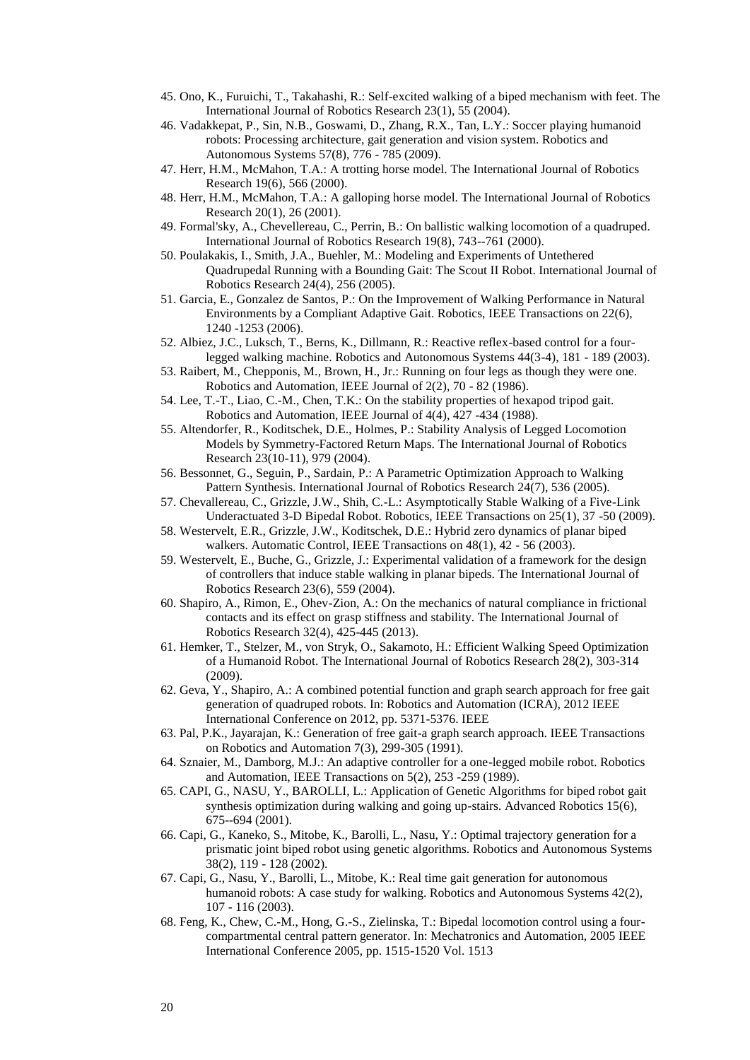- <span id="page-19-19"></span>45. Ono, K., Furuichi, T., Takahashi, R.: Self-excited walking of a biped mechanism with feet. The International Journal of Robotics Research 23(1), 55 (2004).
- <span id="page-19-9"></span>46. Vadakkepat, P., Sin, N.B., Goswami, D., Zhang, R.X., Tan, L.Y.: Soccer playing humanoid robots: Processing architecture, gait generation and vision system. Robotics and Autonomous Systems 57(8), 776 - 785 (2009).
- <span id="page-19-14"></span>47. Herr, H.M., McMahon, T.A.: A trotting horse model. The International Journal of Robotics Research 19(6), 566 (2000).
- 48. Herr, H.M., McMahon, T.A.: A galloping horse model. The International Journal of Robotics Research 20(1), 26 (2001).
- <span id="page-19-15"></span>49. Formal'sky, A., Chevellereau, C., Perrin, B.: On ballistic walking locomotion of a quadruped. International Journal of Robotics Research 19(8), 743--761 (2000).
- <span id="page-19-16"></span>50. Poulakakis, I., Smith, J.A., Buehler, M.: Modeling and Experiments of Untethered Quadrupedal Running with a Bounding Gait: The Scout II Robot. International Journal of Robotics Research 24(4), 256 (2005).
- <span id="page-19-22"></span>51. Garcia, E., Gonzalez de Santos, P.: On the Improvement of Walking Performance in Natural Environments by a Compliant Adaptive Gait. Robotics, IEEE Transactions on 22(6), 1240 -1253 (2006).
- <span id="page-19-21"></span>52. Albiez, J.C., Luksch, T., Berns, K., Dillmann, R.: Reactive reflex-based control for a fourlegged walking machine. Robotics and Autonomous Systems 44(3-4), 181 - 189 (2003).
- <span id="page-19-17"></span>53. Raibert, M., Chepponis, M., Brown, H., Jr.: Running on four legs as though they were one. Robotics and Automation, IEEE Journal of 2(2), 70 - 82 (1986).
- <span id="page-19-18"></span>54. Lee, T.-T., Liao, C.-M., Chen, T.K.: On the stability properties of hexapod tripod gait. Robotics and Automation, IEEE Journal of 4(4), 427 -434 (1988).
- <span id="page-19-0"></span>55. Altendorfer, R., Koditschek, D.E., Holmes, P.: Stability Analysis of Legged Locomotion Models by Symmetry-Factored Return Maps. The International Journal of Robotics Research 23(10-11), 979 (2004).
- <span id="page-19-1"></span>56. Bessonnet, G., Seguin, P., Sardain, P.: A Parametric Optimization Approach to Walking Pattern Synthesis. International Journal of Robotics Research 24(7), 536 (2005).
- <span id="page-19-20"></span>57. Chevallereau, C., Grizzle, J.W., Shih, C.-L.: Asymptotically Stable Walking of a Five-Link Underactuated 3-D Bipedal Robot. Robotics, IEEE Transactions on 25(1), 37 -50 (2009).
- <span id="page-19-11"></span>58. Westervelt, E.R., Grizzle, J.W., Koditschek, D.E.: Hybrid zero dynamics of planar biped walkers. Automatic Control, IEEE Transactions on 48(1), 42 - 56 (2003).
- <span id="page-19-12"></span>59. Westervelt, E., Buche, G., Grizzle, J.: Experimental validation of a framework for the design of controllers that induce stable walking in planar bipeds. The International Journal of Robotics Research 23(6), 559 (2004).
- <span id="page-19-2"></span>60. Shapiro, A., Rimon, E., Ohev-Zion, A.: On the mechanics of natural compliance in frictional contacts and its effect on grasp stiffness and stability. The International Journal of Robotics Research 32(4), 425-445 (2013).
- <span id="page-19-3"></span>61. Hemker, T., Stelzer, M., von Stryk, O., Sakamoto, H.: Efficient Walking Speed Optimization of a Humanoid Robot. The International Journal of Robotics Research 28(2), 303-314 (2009).
- <span id="page-19-4"></span>62. Geva, Y., Shapiro, A.: A combined potential function and graph search approach for free gait generation of quadruped robots. In: Robotics and Automation (ICRA), 2012 IEEE International Conference on 2012, pp. 5371-5376. IEEE
- <span id="page-19-5"></span>63. Pal, P.K., Jayarajan, K.: Generation of free gait-a graph search approach. IEEE Transactions on Robotics and Automation 7(3), 299-305 (1991).
- <span id="page-19-6"></span>64. Sznaier, M., Damborg, M.J.: An adaptive controller for a one-legged mobile robot. Robotics and Automation, IEEE Transactions on 5(2), 253 -259 (1989).
- <span id="page-19-7"></span>65. CAPI, G., NASU, Y., BAROLLI, L.: Application of Genetic Algorithms for biped robot gait synthesis optimization during walking and going up-stairs. Advanced Robotics 15(6), 675--694 (2001).
- <span id="page-19-13"></span>66. Capi, G., Kaneko, S., Mitobe, K., Barolli, L., Nasu, Y.: Optimal trajectory generation for a prismatic joint biped robot using genetic algorithms. Robotics and Autonomous Systems 38(2), 119 - 128 (2002).
- <span id="page-19-8"></span>67. Capi, G., Nasu, Y., Barolli, L., Mitobe, K.: Real time gait generation for autonomous humanoid robots: A case study for walking. Robotics and Autonomous Systems 42(2), 107 - 116 (2003).
- <span id="page-19-10"></span>68. Feng, K., Chew, C.-M., Hong, G.-S., Zielinska, T.: Bipedal locomotion control using a fourcompartmental central pattern generator. In: Mechatronics and Automation, 2005 IEEE International Conference 2005, pp. 1515-1520 Vol. 1513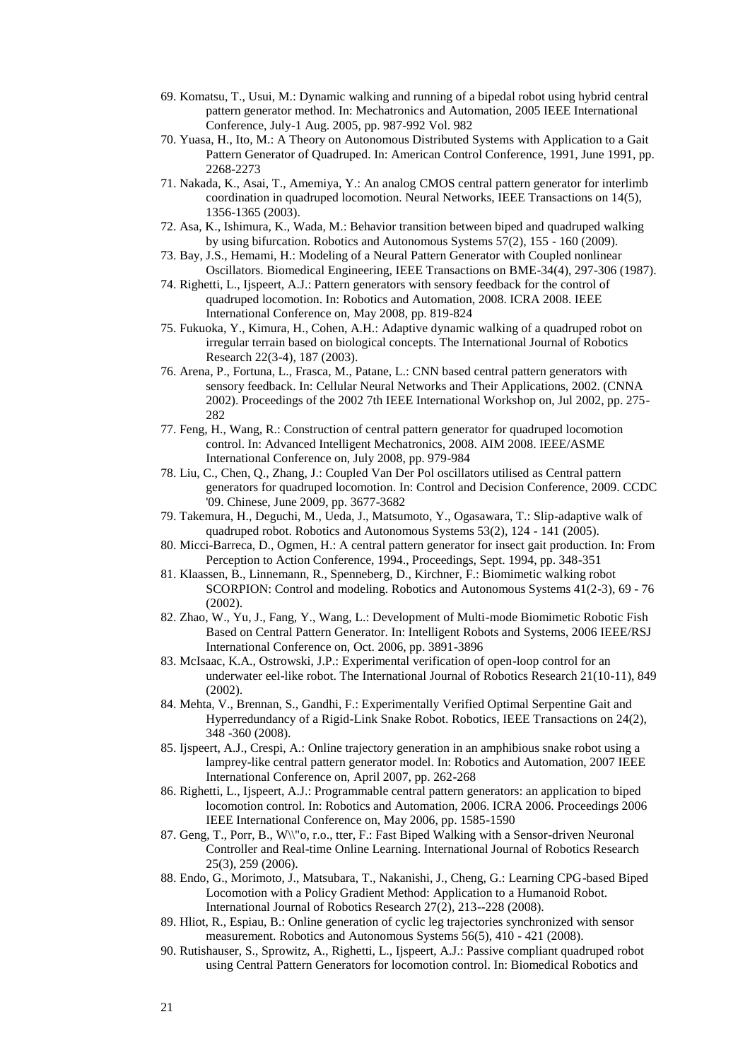- <span id="page-20-7"></span>69. Komatsu, T., Usui, M.: Dynamic walking and running of a bipedal robot using hybrid central pattern generator method. In: Mechatronics and Automation, 2005 IEEE International Conference, July-1 Aug. 2005, pp. 987-992 Vol. 982
- <span id="page-20-8"></span>70. Yuasa, H., Ito, M.: A Theory on Autonomous Distributed Systems with Application to a Gait Pattern Generator of Quadruped. In: American Control Conference, 1991, June 1991, pp. 2268-2273
- <span id="page-20-19"></span>71. Nakada, K., Asai, T., Amemiya, Y.: An analog CMOS central pattern generator for interlimb coordination in quadruped locomotion. Neural Networks, IEEE Transactions on 14(5), 1356-1365 (2003).
- <span id="page-20-16"></span>72. Asa, K., Ishimura, K., Wada, M.: Behavior transition between biped and quadruped walking by using bifurcation. Robotics and Autonomous Systems 57(2), 155 - 160 (2009).
- <span id="page-20-17"></span>73. Bay, J.S., Hemami, H.: Modeling of a Neural Pattern Generator with Coupled nonlinear Oscillators. Biomedical Engineering, IEEE Transactions on BME-34(4), 297-306 (1987).
- <span id="page-20-9"></span>74. Righetti, L., Ijspeert, A.J.: Pattern generators with sensory feedback for the control of quadruped locomotion. In: Robotics and Automation, 2008. ICRA 2008. IEEE International Conference on, May 2008, pp. 819-824
- <span id="page-20-10"></span>75. Fukuoka, Y., Kimura, H., Cohen, A.H.: Adaptive dynamic walking of a quadruped robot on irregular terrain based on biological concepts. The International Journal of Robotics Research 22(3-4), 187 (2003).
- <span id="page-20-20"></span>76. Arena, P., Fortuna, L., Frasca, M., Patane, L.: CNN based central pattern generators with sensory feedback. In: Cellular Neural Networks and Their Applications, 2002. (CNNA 2002). Proceedings of the 2002 7th IEEE International Workshop on, Jul 2002, pp. 275- 282
- 77. Feng, H., Wang, R.: Construction of central pattern generator for quadruped locomotion control. In: Advanced Intelligent Mechatronics, 2008. AIM 2008. IEEE/ASME International Conference on, July 2008, pp. 979-984
- <span id="page-20-18"></span>78. Liu, C., Chen, Q., Zhang, J.: Coupled Van Der Pol oscillators utilised as Central pattern generators for quadruped locomotion. In: Control and Decision Conference, 2009. CCDC '09. Chinese, June 2009, pp. 3677-3682
- <span id="page-20-11"></span>79. Takemura, H., Deguchi, M., Ueda, J., Matsumoto, Y., Ogasawara, T.: Slip-adaptive walk of quadruped robot. Robotics and Autonomous Systems 53(2), 124 - 141 (2005).
- <span id="page-20-12"></span>80. Micci-Barreca, D., Ogmen, H.: A central pattern generator for insect gait production. In: From Perception to Action Conference, 1994., Proceedings, Sept. 1994, pp. 348-351
- <span id="page-20-13"></span>81. Klaassen, B., Linnemann, R., Spenneberg, D., Kirchner, F.: Biomimetic walking robot SCORPION: Control and modeling. Robotics and Autonomous Systems 41(2-3), 69 - 76 (2002).
- <span id="page-20-14"></span>82. Zhao, W., Yu, J., Fang, Y., Wang, L.: Development of Multi-mode Biomimetic Robotic Fish Based on Central Pattern Generator. In: Intelligent Robots and Systems, 2006 IEEE/RSJ International Conference on, Oct. 2006, pp. 3891-3896
- <span id="page-20-15"></span>83. McIsaac, K.A., Ostrowski, J.P.: Experimental verification of open-loop control for an underwater eel-like robot. The International Journal of Robotics Research 21(10-11), 849 (2002).
- <span id="page-20-1"></span>84. Mehta, V., Brennan, S., Gandhi, F.: Experimentally Verified Optimal Serpentine Gait and Hyperredundancy of a Rigid-Link Snake Robot. Robotics, IEEE Transactions on 24(2), 348 -360 (2008).
- <span id="page-20-0"></span>85. Ijspeert, A.J., Crespi, A.: Online trajectory generation in an amphibious snake robot using a lamprey-like central pattern generator model. In: Robotics and Automation, 2007 IEEE International Conference on, April 2007, pp. 262-268
- <span id="page-20-2"></span>86. Righetti, L., Ijspeert, A.J.: Programmable central pattern generators: an application to biped locomotion control. In: Robotics and Automation, 2006. ICRA 2006. Proceedings 2006 IEEE International Conference on, May 2006, pp. 1585-1590
- <span id="page-20-3"></span>87. Geng, T., Porr, B., W\\"o, r.o., tter, F.: Fast Biped Walking with a Sensor-driven Neuronal Controller and Real-time Online Learning. International Journal of Robotics Research 25(3), 259 (2006).
- <span id="page-20-4"></span>88. Endo, G., Morimoto, J., Matsubara, T., Nakanishi, J., Cheng, G.: Learning CPG-based Biped Locomotion with a Policy Gradient Method: Application to a Humanoid Robot. International Journal of Robotics Research 27(2), 213--228 (2008).
- <span id="page-20-5"></span>89. Hliot, R., Espiau, B.: Online generation of cyclic leg trajectories synchronized with sensor measurement. Robotics and Autonomous Systems 56(5), 410 - 421 (2008).
- <span id="page-20-6"></span>90. Rutishauser, S., Sprowitz, A., Righetti, L., Ijspeert, A.J.: Passive compliant quadruped robot using Central Pattern Generators for locomotion control. In: Biomedical Robotics and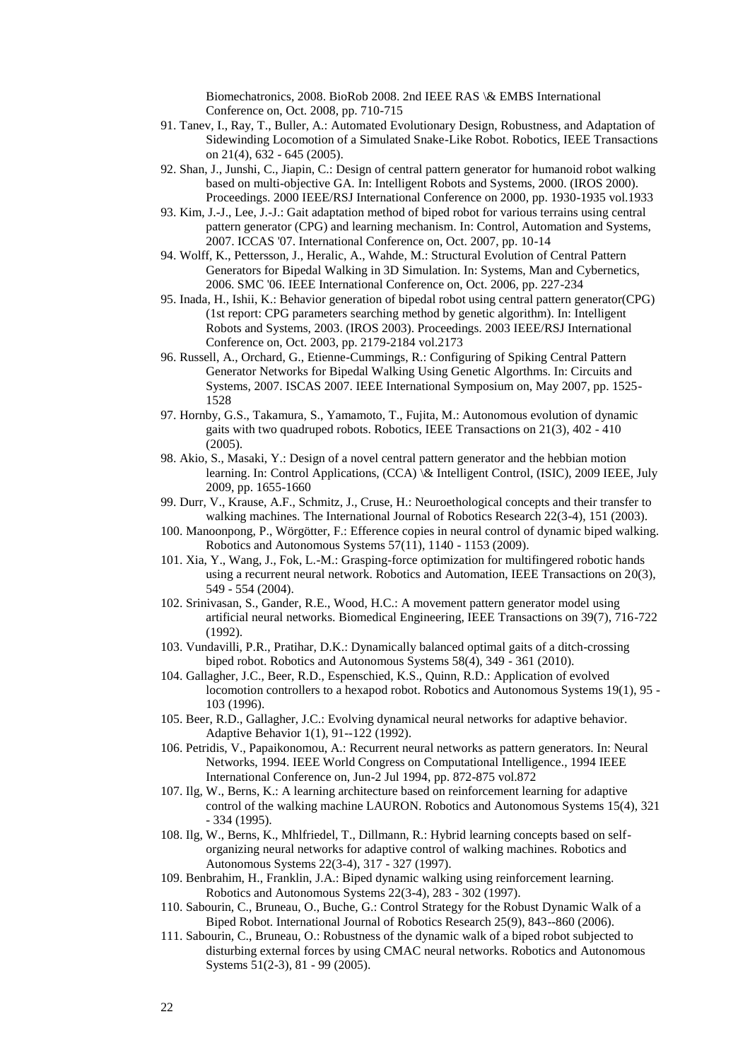Biomechatronics, 2008. BioRob 2008. 2nd IEEE RAS \& EMBS International Conference on, Oct. 2008, pp. 710-715

- <span id="page-21-0"></span>91. Tanev, I., Ray, T., Buller, A.: Automated Evolutionary Design, Robustness, and Adaptation of Sidewinding Locomotion of a Simulated Snake-Like Robot. Robotics, IEEE Transactions on 21(4), 632 - 645 (2005).
- <span id="page-21-1"></span>92. Shan, J., Junshi, C., Jiapin, C.: Design of central pattern generator for humanoid robot walking based on multi-objective GA. In: Intelligent Robots and Systems, 2000. (IROS 2000). Proceedings. 2000 IEEE/RSJ International Conference on 2000, pp. 1930-1935 vol.1933
- <span id="page-21-20"></span>93. Kim, J.-J., Lee, J.-J.: Gait adaptation method of biped robot for various terrains using central pattern generator (CPG) and learning mechanism. In: Control, Automation and Systems, 2007. ICCAS '07. International Conference on, Oct. 2007, pp. 10-14
- <span id="page-21-14"></span>94. Wolff, K., Pettersson, J., Heralic, A., Wahde, M.: Structural Evolution of Central Pattern Generators for Bipedal Walking in 3D Simulation. In: Systems, Man and Cybernetics, 2006. SMC '06. IEEE International Conference on, Oct. 2006, pp. 227-234
- <span id="page-21-15"></span>95. Inada, H., Ishii, K.: Behavior generation of bipedal robot using central pattern generator(CPG) (1st report: CPG parameters searching method by genetic algorithm). In: Intelligent Robots and Systems, 2003. (IROS 2003). Proceedings. 2003 IEEE/RSJ International Conference on, Oct. 2003, pp. 2179-2184 vol.2173
- <span id="page-21-16"></span>96. Russell, A., Orchard, G., Etienne-Cummings, R.: Configuring of Spiking Central Pattern Generator Networks for Bipedal Walking Using Genetic Algorthms. In: Circuits and Systems, 2007. ISCAS 2007. IEEE International Symposium on, May 2007, pp. 1525- 1528
- <span id="page-21-2"></span>97. Hornby, G.S., Takamura, S., Yamamoto, T., Fujita, M.: Autonomous evolution of dynamic gaits with two quadruped robots. Robotics, IEEE Transactions on 21(3), 402 - 410 (2005).
- <span id="page-21-3"></span>98. Akio, S., Masaki, Y.: Design of a novel central pattern generator and the hebbian motion learning. In: Control Applications, (CCA) \& Intelligent Control, (ISIC), 2009 IEEE, July 2009, pp. 1655-1660
- <span id="page-21-4"></span>99. Durr, V., Krause, A.F., Schmitz, J., Cruse, H.: Neuroethological concepts and their transfer to walking machines. The International Journal of Robotics Research 22(3-4), 151 (2003).
- <span id="page-21-17"></span>100. Manoonpong, P., Wörgötter, F.: Efference copies in neural control of dynamic biped walking. Robotics and Autonomous Systems 57(11), 1140 - 1153 (2009).
- <span id="page-21-5"></span>101. Xia, Y., Wang, J., Fok, L.-M.: Grasping-force optimization for multifingered robotic hands using a recurrent neural network. Robotics and Automation, IEEE Transactions on 20(3), 549 - 554 (2004).
- <span id="page-21-6"></span>102. Srinivasan, S., Gander, R.E., Wood, H.C.: A movement pattern generator model using artificial neural networks. Biomedical Engineering, IEEE Transactions on 39(7), 716-722 (1992).
- <span id="page-21-7"></span>103. Vundavilli, P.R., Pratihar, D.K.: Dynamically balanced optimal gaits of a ditch-crossing biped robot. Robotics and Autonomous Systems 58(4), 349 - 361 (2010).
- <span id="page-21-18"></span>104. Gallagher, J.C., Beer, R.D., Espenschied, K.S., Quinn, R.D.: Application of evolved locomotion controllers to a hexapod robot. Robotics and Autonomous Systems 19(1), 95 -103 (1996).
- <span id="page-21-19"></span>105. Beer, R.D., Gallagher, J.C.: Evolving dynamical neural networks for adaptive behavior. Adaptive Behavior 1(1), 91--122 (1992).
- <span id="page-21-8"></span>106. Petridis, V., Papaikonomou, A.: Recurrent neural networks as pattern generators. In: Neural Networks, 1994. IEEE World Congress on Computational Intelligence., 1994 IEEE International Conference on, Jun-2 Jul 1994, pp. 872-875 vol.872
- <span id="page-21-9"></span>107. Ilg, W., Berns, K.: A learning architecture based on reinforcement learning for adaptive control of the walking machine LAURON. Robotics and Autonomous Systems 15(4), 321 - 334 (1995).
- <span id="page-21-10"></span>108. Ilg, W., Berns, K., Mhlfriedel, T., Dillmann, R.: Hybrid learning concepts based on selforganizing neural networks for adaptive control of walking machines. Robotics and Autonomous Systems 22(3-4), 317 - 327 (1997).
- <span id="page-21-11"></span>109. Benbrahim, H., Franklin, J.A.: Biped dynamic walking using reinforcement learning. Robotics and Autonomous Systems 22(3-4), 283 - 302 (1997).
- <span id="page-21-12"></span>110. Sabourin, C., Bruneau, O., Buche, G.: Control Strategy for the Robust Dynamic Walk of a Biped Robot. International Journal of Robotics Research 25(9), 843--860 (2006).
- <span id="page-21-13"></span>111. Sabourin, C., Bruneau, O.: Robustness of the dynamic walk of a biped robot subjected to disturbing external forces by using CMAC neural networks. Robotics and Autonomous Systems 51(2-3), 81 - 99 (2005).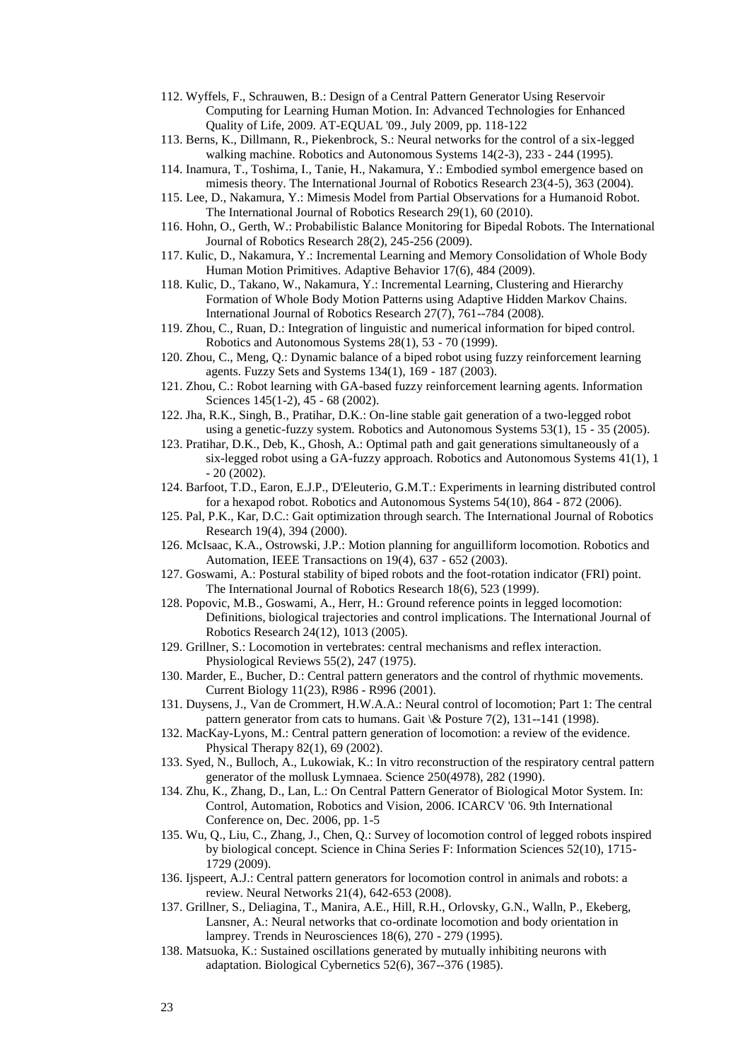- <span id="page-22-0"></span>112. Wyffels, F., Schrauwen, B.: Design of a Central Pattern Generator Using Reservoir Computing for Learning Human Motion. In: Advanced Technologies for Enhanced Quality of Life, 2009. AT-EQUAL '09., July 2009, pp. 118-122
- <span id="page-22-1"></span>113. Berns, K., Dillmann, R., Piekenbrock, S.: Neural networks for the control of a six-legged walking machine. Robotics and Autonomous Systems 14(2-3), 233 - 244 (1995).
- <span id="page-22-2"></span>114. Inamura, T., Toshima, I., Tanie, H., Nakamura, Y.: Embodied symbol emergence based on mimesis theory. The International Journal of Robotics Research 23(4-5), 363 (2004).
- <span id="page-22-24"></span>115. Lee, D., Nakamura, Y.: Mimesis Model from Partial Observations for a Humanoid Robot. The International Journal of Robotics Research 29(1), 60 (2010).
- <span id="page-22-3"></span>116. Hohn, O., Gerth, W.: Probabilistic Balance Monitoring for Bipedal Robots. The International Journal of Robotics Research 28(2), 245-256 (2009).
- <span id="page-22-4"></span>117. Kulic, D., Nakamura, Y.: Incremental Learning and Memory Consolidation of Whole Body Human Motion Primitives. Adaptive Behavior 17(6), 484 (2009).
- <span id="page-22-5"></span>118. Kulic, D., Takano, W., Nakamura, Y.: Incremental Learning, Clustering and Hierarchy Formation of Whole Body Motion Patterns using Adaptive Hidden Markov Chains. International Journal of Robotics Research 27(7), 761--784 (2008).
- <span id="page-22-6"></span>119. Zhou, C., Ruan, D.: Integration of linguistic and numerical information for biped control. Robotics and Autonomous Systems 28(1), 53 - 70 (1999).
- <span id="page-22-7"></span>120. Zhou, C., Meng, Q.: Dynamic balance of a biped robot using fuzzy reinforcement learning agents. Fuzzy Sets and Systems 134(1), 169 - 187 (2003).
- <span id="page-22-8"></span>121. Zhou, C.: Robot learning with GA-based fuzzy reinforcement learning agents. Information Sciences 145(1-2), 45 - 68 (2002).
- <span id="page-22-12"></span>122. Jha, R.K., Singh, B., Pratihar, D.K.: On-line stable gait generation of a two-legged robot using a genetic-fuzzy system. Robotics and Autonomous Systems 53(1), 15 - 35 (2005).
- <span id="page-22-13"></span>123. Pratihar, D.K., Deb, K., Ghosh, A.: Optimal path and gait generations simultaneously of a six-legged robot using a GA-fuzzy approach. Robotics and Autonomous Systems 41(1), 1 - 20 (2002).
- <span id="page-22-9"></span>124. Barfoot, T.D., Earon, E.J.P., D'Eleuterio, G.M.T.: Experiments in learning distributed control for a hexapod robot. Robotics and Autonomous Systems 54(10), 864 - 872 (2006).
- <span id="page-22-10"></span>125. Pal, P.K., Kar, D.C.: Gait optimization through search. The International Journal of Robotics Research 19(4), 394 (2000).
- <span id="page-22-11"></span>126. McIsaac, K.A., Ostrowski, J.P.: Motion planning for anguilliform locomotion. Robotics and Automation, IEEE Transactions on 19(4), 637 - 652 (2003).
- <span id="page-22-14"></span>127. Goswami, A.: Postural stability of biped robots and the foot-rotation indicator (FRI) point. The International Journal of Robotics Research 18(6), 523 (1999).
- <span id="page-22-15"></span>128. Popovic, M.B., Goswami, A., Herr, H.: Ground reference points in legged locomotion: Definitions, biological trajectories and control implications. The International Journal of Robotics Research 24(12), 1013 (2005).
- <span id="page-22-16"></span>129. Grillner, S.: Locomotion in vertebrates: central mechanisms and reflex interaction. Physiological Reviews 55(2), 247 (1975).
- <span id="page-22-17"></span>130. Marder, E., Bucher, D.: Central pattern generators and the control of rhythmic movements. Current Biology 11(23), R986 - R996 (2001).
- 131. Duysens, J., Van de Crommert, H.W.A.A.: Neural control of locomotion; Part 1: The central pattern generator from cats to humans. Gait \& Posture 7(2), 131--141 (1998).
- 132. MacKay-Lyons, M.: Central pattern generation of locomotion: a review of the evidence. Physical Therapy 82(1), 69 (2002).
- <span id="page-22-18"></span>133. Syed, N., Bulloch, A., Lukowiak, K.: In vitro reconstruction of the respiratory central pattern generator of the mollusk Lymnaea. Science 250(4978), 282 (1990).
- <span id="page-22-19"></span>134. Zhu, K., Zhang, D., Lan, L.: On Central Pattern Generator of Biological Motor System. In: Control, Automation, Robotics and Vision, 2006. ICARCV '06. 9th International Conference on, Dec. 2006, pp. 1-5
- <span id="page-22-20"></span>135. Wu, Q., Liu, C., Zhang, J., Chen, Q.: Survey of locomotion control of legged robots inspired by biological concept. Science in China Series F: Information Sciences 52(10), 1715- 1729 (2009).
- <span id="page-22-21"></span>136. Ijspeert, A.J.: Central pattern generators for locomotion control in animals and robots: a review. Neural Networks 21(4), 642-653 (2008).
- <span id="page-22-22"></span>137. Grillner, S., Deliagina, T., Manira, A.E., Hill, R.H., Orlovsky, G.N., Walln, P., Ekeberg, Lansner, A.: Neural networks that co-ordinate locomotion and body orientation in lamprey. Trends in Neurosciences 18(6), 270 - 279 (1995).
- <span id="page-22-23"></span>138. Matsuoka, K.: Sustained oscillations generated by mutually inhibiting neurons with adaptation. Biological Cybernetics 52(6), 367--376 (1985).